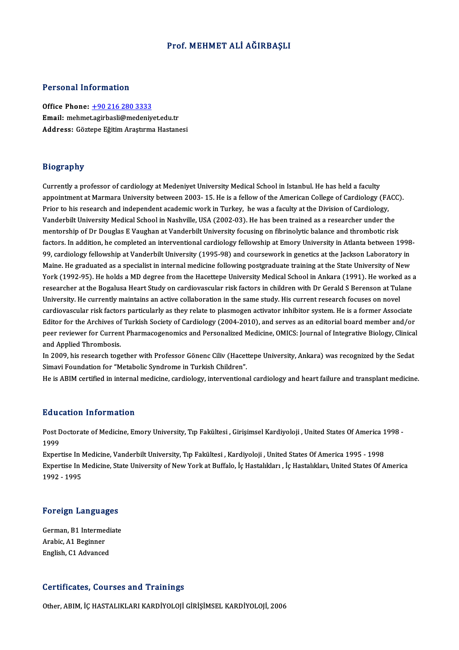### Prof.MEHMET ALİ AĞIRBAŞLI

### Personal Information

Office Phone: +90 216 280 3333 Email: mehme[t.agirbasli@medeniy](tel:+90 216 280 3333)et.edu.tr Address: Göztepe Eğitim Araştırma Hastanesi

#### Biography

Currently a professor of cardiology at Medeniyet University Medical School in Istanbul. He has held a faculty anography<br>Currently a professor of cardiology at Medeniyet University Medical School in Istanbul. He has held a faculty<br>appointment at Marmara University between 2003- 15. He is a fellow of the American College of Cardiolo Currently a professor of cardiology at Medeniyet University Medical School in Istanbul. He has held a faculty<br>appointment at Marmara University between 2003- 15. He is a fellow of the American College of Cardiology (FA<br>Pri appointment at Marmara University between 2003- 15. He is a fellow of the American College of Cardiology (FACO<br>Prior to his research and independent academic work in Turkey, he was a faculty at the Division of Cardiology,<br> Prior to his research and independent academic work in Turkey, he was a faculty at the Division of Cardiology,<br>Vanderbilt University Medical School in Nashville, USA (2002-03). He has been trained as a researcher under the Vanderbilt University Medical School in Nashville, USA (2002-03). He has been trained as a researcher under the<br>mentorship of Dr Douglas E Vaughan at Vanderbilt University focusing on fibrinolytic balance and thrombotic ri mentorship of Dr Douglas E Vaughan at Vanderbilt University focusing on fibrinolytic balance and thrombotic risk<br>factors. In addition, he completed an interventional cardiology fellowship at Emory University in Atlanta bet factors. In addition, he completed an interventional cardiology fellowship at Emory University in Atlanta between 1998-<br>99, cardiology fellowship at Vanderbilt University (1995-98) and coursework in genetics at the Jackson 99, cardiology fellowship at Vanderbilt University (1995-98) and coursework in genetics at the Jackson Laboratory in<br>Maine. He graduated as a specialist in internal medicine following postgraduate training at the State Uni Maine. He graduated as a specialist in internal medicine following postgraduate training at the State University of New<br>York (1992-95). He holds a MD degree from the Hacettepe University Medical School in Ankara (1991). He York (1992-95). He holds a MD degree from the Hacettepe University Medical School in Ankara (1991). He worked as a<br>researcher at the Bogalusa Heart Study on cardiovascular risk factors in children with Dr Gerald S Berenson cardiovascular risk factors particularly as they relate to plasmogen activator inhibitor system. He is a former Associate University. He currently maintains an active collaboration in the same study. His current research focuses on novel<br>cardiovascular risk factors particularly as they relate to plasmogen activator inhibitor system. He is a f cardiovascular risk factors particularly as they relate to plasmogen activator inhibitor system. He is a former Associate<br>Editor for the Archives of Turkish Society of Cardiology (2004-2010), and serves as an editorial boa Editor for the Archives of<br>peer reviewer for Curren<br>and Applied Thrombosis.<br>In 2009, bis researsh togs peer reviewer for Current Pharmacogenomics and Personalized Medicine, OMICS: Journal of Integrative Biology, Clinical<br>and Applied Thrombosis.<br>In 2009, his research together with Professor Gönenc Ciliv (Hacettepe University

Simavi Foundation for "Metabolic Syndrome in Turkish Children".

He is ABIM certified in internal medicine, cardiology, interventional cardiology and heart failure and transplant medicine.

#### Education Information

**Education Information**<br>Post Doctorate of Medicine, Emory University, Tıp Fakültesi , Girişimsel Kardiyoloji , United States Of America 1998 -<br>1999 nund<br>Post E<br>1999<br>Evror Post Doctorate of Medicine, Emory University, Tıp Fakültesi , Girişimsel Kardiyoloji , United States Of America 1<br>1999<br>Expertise In Medicine, Vanderbilt University, Tıp Fakültesi , Kardiyoloji , United States Of America 19

1999<br>Expertise In Medicine, Vanderbilt University, Tıp Fakültesi , Kardiyoloji , United States Of America 1995 - 1998<br>Expertise In Medicine, State University of New York at Buffalo, İç Hastalıkları , İç Hastalıkları, Unite Expertise In Medicine, Vanderbilt University, Tıp Fakültesi, Kardiyoloji, United States Of America 1995 - 1998

# 1992 - 1995<br>Foreign Languages

Foreign Languages<br>German, B1 Intermediate German, B1 Intermediate<br>Arabic, A1 Beginner English, C1 Advanced

#### Certificates, Courses and Trainings

Other, ABIM, İÇ HASTALIKLARI KARDİYOLOJİ GİRİŞİMSEL KARDİYOLOJİ, 2006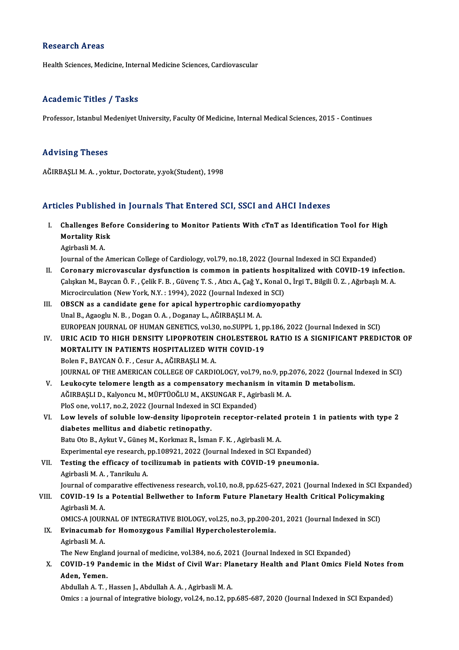#### **Research Areas**

Health Sciences, Medicine, Internal Medicine Sciences, Cardiovascular

### Academic Titles / Tasks

Professor, Istanbul Medeniyet University, Faculty Of Medicine, Internal Medical Sciences, 2015 - Continues

#### Advising Theses

AĞIRBAŞLI M. A., yoktur, Doctorate, y.yok(Student), 1998

#### Articles Published in Journals That Entered SCI, SSCI and AHCI Indexes

- rticles Published in Journals That Entered SCI, SSCI and AHCI Indexes<br>I. Challenges Before Considering to Monitor Patients With cTnT as Identification Tool for High<br>Mortality Biek Mortality Risk<br>Mortality Risk<br>Agirbaali M.A. Mortality Risk<br>Agirbasli M. A.
	-

Journal of the American College of Cardiology, vol.79, no.18, 2022 (Journal Indexed in SCI Expanded)

- Agirbasli M. A.<br>Journal of the American College of Cardiology, vol.79, no.18, 2022 (Journal Indexed in SCI Expanded)<br>II. Coronary microvascular dysfunction is common in patients hospitalized with COVID-19 infection.<br>Colair Journal of the American College of Cardiology, vol.79, no.18, 2022 (Journal Indexed in SCI Expanded)<br>Coronary microvascular dysfunction is common in patients hospitalized with COVID-19 infection<br>Calışkan M., Baycan Ö. F. , Coronary microvascular dysfunction is common in patients hosp<br>Calışkan M., Baycan Ö. F. , Çelik F. B. , Güvenç T. S. , Atıcı A., Çağ Y., Konal (<br>Microcirculation (New York, N.Y. : 1994), 2022 (Journal Indexed in SCI)<br>OBSCN Calışkan M., Baycan Ö. F. , Çelik F. B. , Güvenç T. S. , Atıcı A., Çağ Y., Konal O., İrgi T., Bilgili Ü. Z. , Ağırbaşlı M. A.<br>Microcirculation (New York, N.Y. : 1994), 2022 (Journal Indexed in SCI)<br>III. OBSCN as a cand
- Unal B., Agaoglu N. B., Dogan O. A., Doganay L., AĞIRBAŞLI M. A. EUROPEAN JOURNAL OF HUMAN GENETICS, vol.30, no.SUPPL 1, pp.186, 2022 (Journal Indexed in SCI) Unal B., Agaoglu N. B. , Dogan O. A. , Doganay L., AĞIRBAŞLI M. A.<br>EUROPEAN JOURNAL OF HUMAN GENETICS, vol.30, no.SUPPL 1, pp.186, 2022 (Journal Indexed in SCI)<br>IV. URIC ACID TO HIGH DENSITY LIPOPROTEIN CHOLESTEROL RATIO I
- EUROPEAN JOURNAL OF HUMAN GENETICS, vol.30, no.SUPPL 1, p<br>URIC ACID TO HIGH DENSITY LIPOPROTEIN CHOLESTEROL<br>MORTALITY IN PATIENTS HOSPITALIZED WITH COVID-19<br>Polan E. BAYCAN Ö. E. Cosur A. AČIPRASLIM A URIC ACID TO HIGH DENSITY LIPOPROTEIN<br>MORTALITY IN PATIENTS HOSPITALIZED WI<br>Bolen F., BAYCAN Ö. F. , Cesur A., AĞIRBAŞLI M. A.<br>JOUPNAL OF THE AMERICAN COLLECE OF CAPDI MORTALITY IN PATIENTS HOSPITALIZED WITH COVID-19<br>Bolen F., BAYCAN Ö. F. , Cesur A., AĞIRBAŞLI M. A.<br>JOURNAL OF THE AMERICAN COLLEGE OF CARDIOLOGY, vol.79, no.9, pp.2076, 2022 (Journal Indexed in SCI) Bolen F., BAYCAN Ö. F., Cesur A., AĞIRBAŞLI M. A.<br>JOURNAL OF THE AMERICAN COLLEGE OF CARDIOLOGY, vol.79, no.9, pp.2076, 2022 (Journal I<br>V. Leukocyte telomere length as a compensatory mechanism in vitamin D metabolism.
- JOURNAL OF THE AMERICAN COLLEGE OF CARDIOLOGY, vol.79, no.9, pp.2<br>Leukocyte telomere length as a compensatory mechanism in vitar<br>AĞIRBAŞLI D., Kalyoncu M., MÜFTÜOĞLU M., AKSUNGAR F., Agirbasli M. A.<br>PlaS ana val.17, na.2, Leukocyte telomere length as a compensatory mechanis<br>AĞIRBAŞLI D., Kalyoncu M., MÜFTÜOĞLU M., AKSUNGAR F., Agir<br>PloS one, vol.17, no.2, 2022 (Journal Indexed in SCI Expanded)<br>Law lavak of saluhla law dansity linennatain ne AĞIRBAŞLI D., Kalyoncu M., MÜFTÜOĞLU M., AKSUNGAR F., Agirbasli M. A.<br>PloS one, vol.17, no.2, 2022 (Journal Indexed in SCI Expanded)<br>VI. Low levels of soluble low-density lipoprotein receptor-related protein 1 in patients
- PloS one, vol.17, no.2, 2022 (Journal Indexed in SCI Expanded)<br>Low levels of soluble low-density lipoprotein receptor-related<br>diabetes mellitus and diabetic retinopathy.<br>Batu Oto B., Aykut V., Günes M., Korkmaz R., İsman F Low levels of soluble low-density lipoprotein receptor-related<br>diabetes mellitus and diabetic retinopathy.<br>Batu Oto B., Aykut V., Güneş M., Korkmaz R., İsman F. K. , Agirbasli M. A.<br>Evnerimentel eve ressarsh an 198931-2033 diabetes mellitus and diabetic retinopathy.<br>Batu Oto B., Aykut V., Güneş M., Korkmaz R., İsman F. K. , Agirbasli M. A.<br>Experimental eye research, pp.108921, 2022 (Journal Indexed in SCI Expanded)<br>Testing the efficeau of te Batu Oto B., Aykut V., Güneş M., Korkmaz R., İsman F. K., Agirbasli M. A.<br>Experimental eye research, pp.108921, 2022 (Journal Indexed in SCI Expanded)<br>VII. Testing the efficacy of tocilizumab in patients with COVID-19 pneu
- Experimental eye research, p<br>Testing the efficacy of to<br>Agirbasli M. A. , Tanrikulu A.<br>Journal of componative effect VII. Testing the efficacy of tocilizumab in patients with COVID-19 pneumonia.<br>Agirbasli M. A., Tanrikulu A.<br>Journal of comparative effectiveness research, vol.10, no.8, pp.625-627, 2021 (Journal Indexed in SCI Expanded)

Agirbasli M. A., Tanrikulu A.<br>Journal of comparative effectiveness research, vol.10, no.8, pp.625-627, 2021 (Journal Indexed in SCI Ex<br>VIII. COVID-19 Is a Potential Bellwether to Inform Future Planetary Health Critical Journal of com<br>COVID-19 Is<br>Agirbasli M. A.<br>OMICS A JOUP COVID-19 Is a Potential Bellwether to Inform Future Planetary Health Critical Policymaking<br>Agirbasli M. A.<br>OMICS-A JOURNAL OF INTEGRATIVE BIOLOGY, vol.25, no.3, pp.200-201, 2021 (Journal Indexed in SCI)<br>Evinasumah for Homo

Agirbasli M. A.<br>OMICS-A JOURNAL OF INTEGRATIVE BIOLOGY, vol.25, no.3, pp.200-2<br>IX. Evinacumab for Homozygous Familial Hypercholesterolemia. OMICS-A JOUR<br>Evinacumab<br>Agirbasli M. A.<br>The New Engle Evinacumab for Homozygous Familial Hypercholesterolemia.<br>Agirbasli M. A.<br>The New England journal of medicine, vol.384, no.6, 2021 (Journal Indexed in SCI Expanded)<br>COVID 19 Bandamia in the Midst of Civil Wory Planetary Hoa Agirbasli M. A.<br>The New England journal of medicine, vol.384, no.6, 2021 (Journal Indexed in SCI Expanded)<br>X. COVID-19 Pandemic in the Midst of Civil War: Planetary Health and Plant Omics Field Notes from<br>Aden Yemen

### The New Englar<br>COVID-19 Par<br>Aden, Yemen.<br>Abdullah A.T. COVID-19 Pandemic in the Midst of Civil War: Pla<br>Aden, Yemen.<br>Abdullah A.T., Hassen J., Abdullah A.A., Agirbasli M.A.<br>Omigs : a journal of integrative biology, vol 24, no 12, no Aden, Yemen.<br>Abdullah A. T. , Hassen J., Abdullah A. A. , Agirbasli M. A.<br>Omics : a journal of integrative biology, vol.24, no.12, pp.685-687, 2020 (Journal Indexed in SCI Expanded)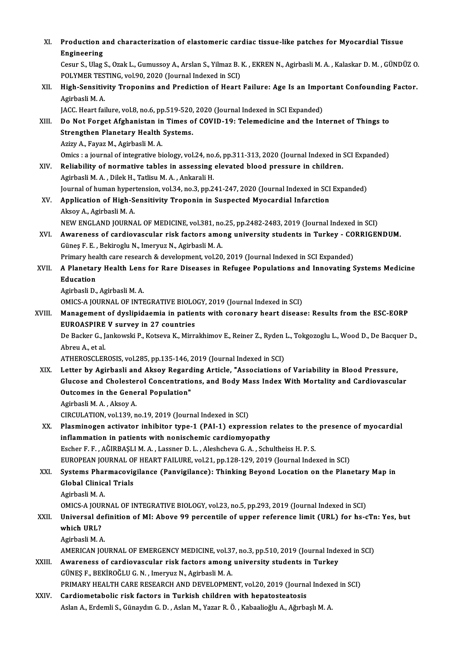| XI.    | Production and characterization of elastomeric cardiac tissue-like patches for Myocardial Tissue<br><b>Engineering</b>                                                                                                                   |
|--------|------------------------------------------------------------------------------------------------------------------------------------------------------------------------------------------------------------------------------------------|
|        | Cesur S., Ulag S., Ozak L., Gumussoy A., Arslan S., Yilmaz B. K., EKREN N., Agirbasli M. A., Kalaskar D. M., GÜNDÜZ O.<br>POLYMER TESTING, vol.90, 2020 (Journal Indexed in SCI)                                                         |
| XII.   | High-Sensitivity Troponins and Prediction of Heart Failure: Age Is an Important Confounding Factor.<br>Agirbasli M.A.                                                                                                                    |
|        | JACC. Heart failure, vol.8, no.6, pp.519-520, 2020 (Journal Indexed in SCI Expanded)                                                                                                                                                     |
| XIII.  | Do Not Forget Afghanistan in Times of COVID-19: Telemedicine and the Internet of Things to<br>Strengthen Planetary Health Systems.                                                                                                       |
|        | Azizy A., Fayaz M., Agirbasli M. A.<br>Omics : a journal of integrative biology, vol.24, no.6, pp.311-313, 2020 (Journal Indexed in SCI Expanded)                                                                                        |
| XIV.   | Reliability of normative tables in assessing elevated blood pressure in children.<br>Agirbasli M. A., Dilek H., Tatlisu M. A., Ankarali H.                                                                                               |
|        | Journal of human hypertension, vol.34, no.3, pp.241-247, 2020 (Journal Indexed in SCI Expanded)                                                                                                                                          |
| XV.    | Application of High-Sensitivity Troponin in Suspected Myocardial Infarction<br>Aksoy A., Agirbasli M. A.                                                                                                                                 |
| XVI.   | NEW ENGLAND JOURNAL OF MEDICINE, vol.381, no.25, pp.2482-2483, 2019 (Journal Indexed in SCI)<br>Awareness of cardiovascular risk factors among university students in Turkey - CORRIGENDUM.                                              |
|        | Güneş F. E., Bekiroglu N., Imeryuz N., Agirbasli M. A.<br>Primary health care research & development, vol.20, 2019 (Journal Indexed in SCI Expanded)                                                                                     |
| XVII.  | A Planetary Health Lens for Rare Diseases in Refugee Populations and Innovating Systems Medicine                                                                                                                                         |
|        | Education                                                                                                                                                                                                                                |
|        | Agirbasli D., Agirbasli M. A.                                                                                                                                                                                                            |
|        | OMICS-A JOURNAL OF INTEGRATIVE BIOLOGY, 2019 (Journal Indexed in SCI)                                                                                                                                                                    |
| XVIII. | Management of dyslipidaemia in patients with coronary heart disease: Results from the ESC-EORP                                                                                                                                           |
|        | <b>EUROASPIRE V survey in 27 countries</b>                                                                                                                                                                                               |
|        | De Backer G., Jankowski P., Kotseva K., Mirrakhimov E., Reiner Z., Ryden L., Tokgozoglu L., Wood D., De Bacquer D.,<br>Abreu A, et al.                                                                                                   |
|        | ATHEROSCLEROSIS, vol.285, pp.135-146, 2019 (Journal Indexed in SCI)                                                                                                                                                                      |
| XIX.   | Letter by Agirbasli and Aksoy Regarding Article, "Associations of Variability in Blood Pressure,<br>Glucose and Cholesterol Concentrations, and Body Mass Index With Mortality and Cardiovascular<br>Outcomes in the General Population" |
|        | Agirbasli M. A., Aksoy A.                                                                                                                                                                                                                |
|        | CIRCULATION, vol.139, no.19, 2019 (Journal Indexed in SCI)                                                                                                                                                                               |
| XX.    | Plasminogen activator inhibitor type-1 (PAI-1) expression relates to the presence of myocardial<br>inflammation in patients with nonischemic cardiomyopathy                                                                              |
|        | Escher F. F., AĞIRBAŞLI M. A., Lassner D. L., Aleshcheva G. A., Schultheiss H. P. S.                                                                                                                                                     |
|        | EUROPEAN JOURNAL OF HEART FAILURE, vol.21, pp.128-129, 2019 (Journal Indexed in SCI)                                                                                                                                                     |
| XXI.   | Systems Pharmacovigilance (Panvigilance): Thinking Beyond Location on the Planetary Map in<br><b>Global Clinical Trials</b>                                                                                                              |
|        | Agirbasli M. A.                                                                                                                                                                                                                          |
|        | OMICS-A JOURNAL OF INTEGRATIVE BIOLOGY, vol.23, no.5, pp.293, 2019 (Journal Indexed in SCI)                                                                                                                                              |
| XXII.  | Universal definition of MI: Above 99 percentile of upper reference limit (URL) for hs-cTn: Yes, but<br>which URL?                                                                                                                        |
|        | Agirbasli M.A.<br>AMERICAN JOURNAL OF EMERGENCY MEDICINE, vol.37, no.3, pp.510, 2019 (Journal Indexed in SCI)                                                                                                                            |
| XXIII. | Awareness of cardiovascular risk factors among university students in Turkey                                                                                                                                                             |
|        | GÜNEŞ F., BEKİROĞLU G. N., Imeryuz N., Agirbasli M. A.                                                                                                                                                                                   |
|        | PRIMARY HEALTH CARE RESEARCH AND DEVELOPMENT, vol.20, 2019 (Journal Indexed in SCI)                                                                                                                                                      |
| XXIV.  | Cardiometabolic risk factors in Turkish children with hepatosteatosis                                                                                                                                                                    |
|        | Aslan A., Erdemli S., Günaydın G. D., Aslan M., Yazar R. Ö., Kabaalioğlu A., Ağırbaşlı M. A.                                                                                                                                             |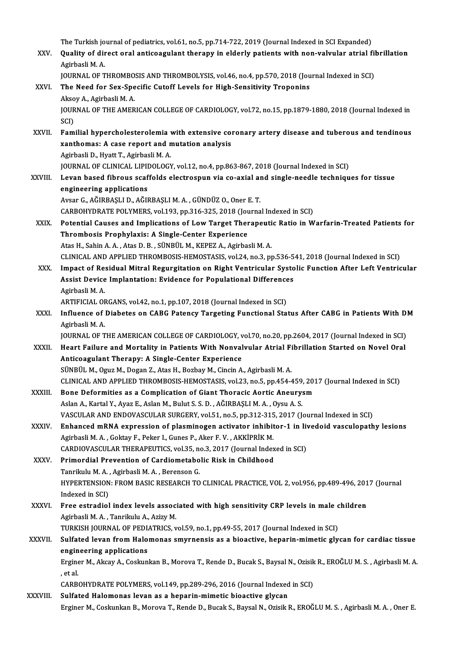The Turkish journal of pediatrics, vol.61, no.5, pp.714-722, 2019 (Journal Indexed in SCI Expanded)<br>Quality of dinast anal antiseasulant theneau in alderly patients with non-valuulan atrial f

- The Turkish journal of pediatrics, vol.61, no.5, pp.714-722, 2019 (Journal Indexed in SCI Expanded)<br>XXV. Quality of direct oral anticoagulant therapy in elderly patients with non-valvular atrial fibrillation The Turkish jo<br>**Quality of dii**<br>Agirbasli M. A.<br>JOUPNAJ OF T Quality of direct oral anticoagulant therapy in elderly patients with non-valvular atrial fil<br>Agirbasli M. A.<br>JOURNAL OF THROMBOSIS AND THROMBOLYSIS, vol.46, no.4, pp.570, 2018 (Journal Indexed in SCI)<br>The Need for Sey Spe
	- JOURNAL OF THROMBOSIS AND THROMBOLYSIS, vol.46, no.4, pp.570, 2018 (Journal Indexed in SCI)
- Agirbasli M. A.<br>JOURNAL OF THROMBOSIS AND THROMBOLYSIS, vol.46, no.4, pp.570, 2018 (Jou<br>XXVI. The Need for Sex-Specific Cutoff Levels for High-Sensitivity Troponins<br>Aksoy A., Agirbasli M. A. The Need for Sex-Specific Cutoff Levels for High-Sensitivity Troponins<br>Aksoy A., Agirbasli M. A.<br>JOURNAL OF THE AMERICAN COLLEGE OF CARDIOLOGY, vol.72, no.15, pp.1879-1880, 2018 (Journal Indexed in<br>SCD Akso<br>JOUR<br>SCI)<br>Eam
- JOURNAL OF THE AMERICAN COLLEGE OF CARDIOLOGY, vol.72, no.15, pp.1879-1880, 2018 (Journal Indexed in<br>SCI)<br>XXVII. Familial hypercholesterolemia with extensive coronary artery disease and tuberous and tendinous<br>xanthomogy A SCI)<br>Familial hypercholesterolemia with extensive com<br>xanthomas: A case report and mutation analysis<br>Agirbasli D. Hyatt T. Agirbasli M.A Familial hypercholesterolemia<br>xanthomas: A case report and n<br>Agirbasli D., Hyatt T., Agirbasli M. A.<br>JOUPMAL OF CLINICAL LIBIDOLOCY xanthomas: A case report and mutation analysis<br>Agirbasli D., Hyatt T., Agirbasli M. A.<br>JOURNAL OF CLINICAL LIPIDOLOGY, vol.12, no.4, pp.863-867, 2018 (Journal Indexed in SCI)
- XXVIII. Levan based fibrous scaffolds electrospun via co-axial and single-needle techniques for tissue engineering applications
	- AvsarG.,AĞIRBAŞLID.,AĞIRBAŞLIM.A. ,GÜNDÜZO.,Oner E.T.
	- CARBOHYDRATE POLYMERS, vol.193, pp.316-325, 2018 (Journal Indexed in SCI)
- Avsar G., AĞIRBAŞLI D., AĞIRBAŞLI M. A. , GÜNDÜZ O., Oner E. T.<br>CARBOHYDRATE POLYMERS, vol.193, pp.316-325, 2018 (Journal Indexed in SCI)<br>XXIX. Potential Causes and Implications of Low Target Therapeutic Ratio in Warfarin-CARBOHYDRATE POLYMERS, vol.193, pp.316-325, 2018 (Journal Causes and Implications of Low Target Then<br>Thrombosis Prophylaxis: A Single-Center Experience<br>Atre H. Sohin A.A., Atre D. B., SilNPill M. KEREZ A. Agirbas Potential Causes and Implications of Low Target Therapeuti<br>Thrombosis Prophylaxis: A Single-Center Experience<br>Atas H., Sahin A.A., Atas D. B., SÜNBÜL M., KEPEZ A., Agirbasli M.A.<br>CLINICAL AND APPLIED TUROMBOSIS UEMOSTASIS Thrombosis Prophylaxis: A Single-Center Experience<br>Atas H., Sahin A. A. , Atas D. B. , SÜNBÜL M., KEPEZ A., Agirbasli M. A.<br>CLINICAL AND APPLIED THROMBOSIS-HEMOSTASIS, vol.24, no.3, pp.536-541, 2018 (Journal Indexed in SCI Atas H., Sahin A. A. , Atas D. B. , SÜNBÜL M., KEPEZ A., Agirbasli M. A.<br>CLINICAL AND APPLIED THROMBOSIS-HEMOSTASIS, vol.24, no.3, pp.536-541, 2018 (Journal Indexed in SCI)<br>XXX. Impact of Residual Mitral Regurgitation on R
- CLINICAL AND APPLIED THROMBOSIS-HEMOSTASIS, vol.24, no.3, pp.536-5<br>Impact of Residual Mitral Regurgitation on Right Ventricular Syste<br>Assist Device Implantation: Evidence for Populational Differences<br>Asishasli M.A Impact of Residual Mitral Regurgitation on Right Ventricular Systolic Function After Left Ventricular<br>Assist Device Implantation: Evidence for Populational Differences<br>Agirbasli M. A. Assist Device Implantation: Evidence for Populational Differences
	-
- Agirbasli M. A.<br>ARTIFICIAL ORGANS, vol.42, no.1, pp.107, 2018 (Journal Indexed in SCI)<br>XXXI. Influence of Diabetes on CABG Patency Targeting Functional Status After CABG in Patients With DM<br>Agirbasli M A ARTIFICIAL ORGANS, vol.42, no.1, pp.107, 2018 (Journal Indexed in SCI)<br>Influence of Diabetes on CABG Patency Targeting Functional Status After CABG in Patients With D<br>Agirbasli M. A.<br>JOURNAL OF THE AMERICAN COLLEGE OF CARD Influence of Diabetes on CABG Patency Targeting Functional Status After CABG in Patients With D!<br>Agirbasli M. A.<br>JOURNAL OF THE AMERICAN COLLEGE OF CARDIOLOGY, vol.70, no.20, pp.2604, 2017 (Journal Indexed in SCI)<br>Heart Fa
	-
- XXXII. Heart Failure and Mortality in Patients With Nonvalvular Atrial Fibrillation Started on Novel Oral Anticoagulant Therapy: A Single-Center Experience SÜNBÜL M., Oguz M., Dogan Z., Atas H., Bozbay M., Cincin A., Agirbasli M. A. CLINICALANDAPPLIEDTHROMBOSIS-HEMOSTASIS,vol.23,no.5,pp.454-459,2017 (Journal Indexed inSCI)
- XXXIII. Bone Deformities as a Complication of Giant Thoracic Aortic Aneurysm AslanA.,KartalY.,AyazE.,AslanM.,BulutS.S.D. ,AĞIRBAŞLIM.A. ,OysuA.S. Bone Deformities as a Complication of Giant Thoracic Aortic Aneurysm<br>Aslan A., Kartal Y., Ayaz E., Aslan M., Bulut S. S. D. , AĞIRBAŞLI M. A. , Oysu A. S.<br>VASCULAR AND ENDOVASCULAR SURGERY, vol.51, no.5, pp.312-315, 2017 ( Aslan A., Kartal Y., Ayaz E., Aslan M., Bulut S. S. D. , AĞIRBAŞLI M. A. , Oysu A. S.<br>VASCULAR AND ENDOVASCULAR SURGERY, vol.51, no.5, pp.312-315, 2017 (Journal Indexed in SCI)<br>XXXIV. Enhanced mRNA expression of plasminoge
- VASCULAR AND ENDOVASCULAR SURGERY, vol.51, no.5, pp.312-315<br>Enhanced mRNA expression of plasminogen activator inhibit<br>Agirbasli M. A. , Goktay F., Peker I., Gunes P., Aker F. V. , AKKİPRİK M.<br>CARDIOVASCULAR TUERAREUTISS vo Enhanced mRNA expression of plasminogen activator inhibitor-1 in livedoid vasculopathy lesions<br>Agirbasli M. A. , Goktay F., Peker I., Gunes P., Aker F. V. , AKKİPRİK M.<br>CARDIOVASCULAR THERAPEUTICS, vol.35, no.3, 2017 (Jour Agirbasli M. A., Goktay F., Peker I., Gunes P., Aker F. V., AKKİPRİK M.<br>CARDIOVASCULAR THERAPEUTICS, vol.35, no.3, 2017 (Journal Index<br>XXXV. Primordial Prevention of Cardiometabolic Risk in Childhood<br>Tanrikulu M.A., Agirba
- CARDIOVASCULAR THERAPEUTICS, vol.35, no<br>Primordial Prevention of Cardiometabo<br>Tanrikulu M.A. , Agirbasli M.A. , Berenson G.<br>HYPEPTENSION, EDOM PASIC PESEAPCH TO Primordial Prevention of Cardiometabolic Risk in Childhood<br>Tanrikulu M. A. , Agirbasli M. A. , Berenson G.<br>HYPERTENSION: FROM BASIC RESEARCH TO CLINICAL PRACTICE, VOL 2, vol.956, pp.489-496, 2017 (Journal<br>Indeved in SCD. Tanrikulu M. A. , Agirbasli M. A. , Berenson G.<br>HYPERTENSION: FROM BASIC RESEARCH TO<br>Indexed in SCI) HYPERTENSION: FROM BASIC RESEARCH TO CLINICAL PRACTICE, VOL 2, vol.956, pp.489-496, 201<br>Indexed in SCI)<br>XXXVI. Free estradiol index levels associated with high sensitivity CRP levels in male children<br>Agirbeeli M.A. Tenrilu
- Indexed in SCI)<br>Free estradiol index levels assoc:<br>Agirbasli M. A. , Tanrikulu A., Azizy M.<br>TURKISH JOURNAL OF REDIATRICS Free estradiol index levels associated with high sensitivity CRP levels in male c<br>Agirbasli M. A. , Tanrikulu A., Azizy M.<br>TURKISH JOURNAL OF PEDIATRICS, vol.59, no.1, pp.49-55, 2017 (Journal Indexed in SCI)<br>Sulfated leven Agirbasli M. A. , Tanrikulu A., Azizy M.<br>TURKISH JOURNAL OF PEDIATRICS, vol.59, no.1, pp.49-55, 2017 (Journal Indexed in SCI)<br>XXXVII. Sulfated levan from Halomonas smyrnensis as a bioactive, heparin-mimetic glycan for

TURKISH JOURNAL OF PEDIATRICS, vol.59, no.1, pp.49-55, 2017 (Journal Indexed in SCI)

Sulfated levan from Halomonas smyrnensis as a bioactive, heparin-mimetic glycan for cardiac tissue<br>engineering applications<br>Erginer M., Akcay A., Coskunkan B., Morova T., Rende D., Bucak S., Baysal N., Ozisik R., EROĞLU M.

engineering applications<br>Erginer M., Akcay A., Coskun<br>, et al. Erginer M., Akcay A., Coskunkan B., Morova T., Rende D., Bucak S., Baysal N., Ozisik<br>, et al.<br>CARBOHYDRATE POLYMERS, vol.149, pp.289-296, 2016 (Journal Indexed in SCI)<br>Sulfated Halamanas lavan as a bananin mimetis bioastiv

CARBOHYDRATE POLYMERS, vol.149, pp.289-296, 2016 (Journal Indexed in SCI)<br>XXXVIII. Sulfated Halomonas levan as a heparin-mimetic bioactive glycan

Erginer M., Coskunkan B., Morova T., Rende D., Bucak S., Baysal N., Ozisik R., EROĞLU M. S., Agirbasli M. A., Oner E.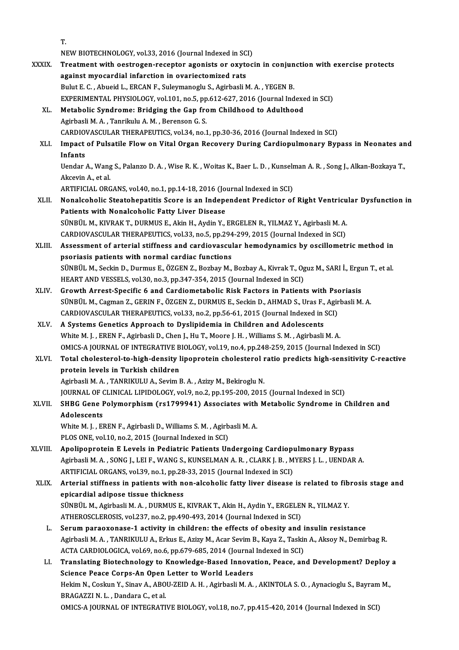|              | T.                                                                                                                |
|--------------|-------------------------------------------------------------------------------------------------------------------|
|              | NEW BIOTECHNOLOGY, vol.33, 2016 (Journal Indexed in SCI)                                                          |
| <b>XXXIX</b> | Treatment with oestrogen-receptor agonists or oxytocin in conjunction with exercise protects                      |
|              | against myocardial infarction in ovariectomized rats                                                              |
|              | Bulut E. C., Abueid L., ERCAN F., Suleymanoglu S., Agirbasli M. A., YEGEN B.                                      |
|              | EXPERIMENTAL PHYSIOLOGY, vol.101, no.5, pp.612-627, 2016 (Journal Indexed in SCI)                                 |
| XL.          | Metabolic Syndrome: Bridging the Gap from Childhood to Adulthood                                                  |
|              | Agirbasli M. A., Tanrikulu A. M., Berenson G. S.                                                                  |
|              | CARDIOVASCULAR THERAPEUTICS, vol.34, no.1, pp.30-36, 2016 (Journal Indexed in SCI)                                |
| XLI.         | Impact of Pulsatile Flow on Vital Organ Recovery During Cardiopulmonary Bypass in Neonates and                    |
|              | Infants                                                                                                           |
|              | Uendar A., Wang S., Palanzo D. A., Wise R. K., Woitas K., Baer L. D., Kunselman A. R., Song J., Alkan-Bozkaya T., |
|              | Akcevin A, et al                                                                                                  |
|              | ARTIFICIAL ORGANS, vol.40, no.1, pp.14-18, 2016 (Journal Indexed in SCI)                                          |
| XLII.        | Nonalcoholic Steatohepatitis Score is an Independent Predictor of Right Ventricular Dysfunction in                |
|              | Patients with Nonalcoholic Fatty Liver Disease                                                                    |
|              | SÜNBÜL M., KIVRAK T., DURMUS E., Akin H., Aydin Y., ERGELEN R., YILMAZ Y., Agirbasli M. A.                        |
|              | CARDIOVASCULAR THERAPEUTICS, vol.33, no.5, pp.294-299, 2015 (Journal Indexed in SCI)                              |
| XLIII.       | Assessment of arterial stiffness and cardiovascular hemodynamics by oscillometric method in                       |
|              | psoriasis patients with normal cardiac functions                                                                  |
|              | SÜNBÜL M., Seckin D., Durmus E., ÖZGEN Z., Bozbay M., Bozbay A., Kivrak T., Oguz M., SARI İ., Ergun T., et al.    |
|              | HEART AND VESSELS, vol.30, no.3, pp.347-354, 2015 (Journal Indexed in SCI)                                        |
| XLIV.        | Growth Arrest-Specific 6 and Cardiometabolic Risk Factors in Patients with Psoriasis                              |
|              | SÜNBÜL M., Cagman Z., GERIN F., ÖZGEN Z., DURMUS E., Seckin D., AHMAD S., Uras F., Agirbasli M. A.                |
|              | CARDIOVASCULAR THERAPEUTICS, vol.33, no.2, pp.56-61, 2015 (Journal Indexed in SCI)                                |
| XLV.         | A Systems Genetics Approach to Dyslipidemia in Children and Adolescents                                           |
|              | White M. J., EREN F., Agirbasli D., Chen J., Hu T., Moore J. H., Williams S. M., Agirbasli M. A.                  |
|              | OMICS-A JOURNAL OF INTEGRATIVE BIOLOGY, vol.19, no.4, pp.248-259, 2015 (Journal Indexed in SCI)                   |
| XLVI.        | Total cholesterol-to-high-density lipoprotein cholesterol ratio predicts high-sensitivity C-reactive              |
|              | protein levels in Turkish children                                                                                |
|              | Agirbasli M. A., TANRIKULU A., Sevim B. A., Azizy M., Bekiroglu N.                                                |
|              | JOURNAL OF CLINICAL LIPIDOLOGY, vol.9, no.2, pp.195-200, 2015 (Journal Indexed in SCI)                            |
| XLVII.       | SHBG Gene Polymorphism (rs1799941) Associates with Metabolic Syndrome in Children and                             |
|              | Adolescents                                                                                                       |
|              | White M. J., EREN F., Agirbasli D., Williams S. M., Agirbasli M. A.                                               |
|              | PLOS ONE, vol.10, no.2, 2015 (Journal Indexed in SCI)                                                             |
| XLVIII.      | Apolipoprotein E Levels in Pediatric Patients Undergoing Cardiopulmonary Bypass                                   |
|              | Agirbasli M. A., SONG J., LEI F., WANG S., KUNSELMAN A. R., CLARK J. B., MYERS J. L., UENDAR A.                   |
|              | ARTIFICIAL ORGANS, vol.39, no.1, pp.28-33, 2015 (Journal Indexed in SCI)                                          |
| XLIX.        | Arterial stiffness in patients with non-alcoholic fatty liver disease is related to fibrosis stage and            |
|              | epicardial adipose tissue thickness                                                                               |
|              | SÜNBÜL M., Agirbasli M. A., DURMUS E., KIVRAK T., Akin H., Aydin Y., ERGELEN R., YILMAZ Y.                        |
|              | ATHEROSCLEROSIS, vol.237, no.2, pp.490-493, 2014 (Journal Indexed in SCI)                                         |
| L.           | Serum paraoxonase-1 activity in children: the effects of obesity and insulin resistance                           |
|              | Agirbasli M. A., TANRIKULU A., Erkus E., Azizy M., Acar Sevim B., Kaya Z., Taskin A., Aksoy N., Demirbag R.       |
|              | ACTA CARDIOLOGICA, vol.69, no.6, pp.679-685, 2014 (Journal Indexed in SCI)                                        |
| LI.          | Translating Biotechnology to Knowledge-Based Innovation, Peace, and Development? Deploy a                         |
|              | Science Peace Corps-An Open Letter to World Leaders                                                               |
|              | Hekim N., Coskun Y., Sinav A., ABOU-ZEID A. H., Agirbasli M. A., AKINTOLA S. O., Aynacioglu S., Bayram M.,        |
|              | BRAGAZZI N.L., Dandara C., et al.                                                                                 |
|              | OMICS-A JOURNAL OF INTEGRATIVE BIOLOGY, vol.18, no.7, pp.415-420, 2014 (Journal Indexed in SCI)                   |
|              |                                                                                                                   |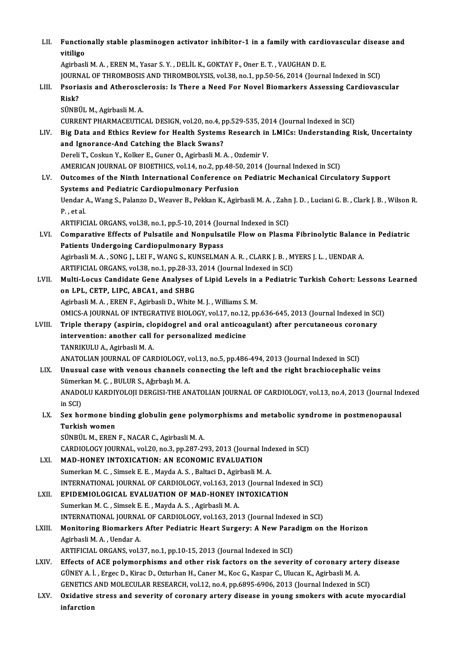| LII.   | Functionally stable plasminogen activator inhibitor-1 in a family with cardiovascular disease and<br>vitiligo                                                                                 |
|--------|-----------------------------------------------------------------------------------------------------------------------------------------------------------------------------------------------|
|        | Agirbasli M. A., EREN M., Yasar S. Y., DELİL K., GOKTAY F., Oner E. T., VAUGHAN D. E.                                                                                                         |
|        | JOURNAL OF THROMBOSIS AND THROMBOLYSIS, vol.38, no.1, pp.50-56, 2014 (Journal Indexed in SCI)                                                                                                 |
| LIII.  | Psoriasis and Atherosclerosis: Is There a Need For Novel Biomarkers Assessing Cardiovascular                                                                                                  |
|        | Risk?<br>SÜNBÜL M., Agirbasli M. A.                                                                                                                                                           |
|        | CURRENT PHARMACEUTICAL DESIGN, vol.20, no.4, pp.529-535, 2014 (Journal Indexed in SCI)                                                                                                        |
| LIV.   | Big Data and Ethics Review for Health Systems Research in LMICs: Understanding Risk, Uncertainty                                                                                              |
|        | and Ignorance-And Catching the Black Swans?                                                                                                                                                   |
|        | Dereli T., Coskun Y., Kolker E., Guner O., Agirbasli M. A., Ozdemir V.                                                                                                                        |
|        | AMERICAN JOURNAL OF BIOETHICS, vol.14, no.2, pp.48-50, 2014 (Journal Indexed in SCI)                                                                                                          |
| LV.    | Outcomes of the Ninth International Conference on Pediatric Mechanical Circulatory Support                                                                                                    |
|        | Systems and Pediatric Cardiopulmonary Perfusion                                                                                                                                               |
|        | Uendar A., Wang S., Palanzo D., Weaver B., Pekkan K., Agirbasli M. A., Zahn J. D., Luciani G. B., Clark J. B., Wilson R.                                                                      |
|        | $P$ , et al.                                                                                                                                                                                  |
|        | ARTIFICIAL ORGANS, vol.38, no.1, pp.5-10, 2014 (Journal Indexed in SCI)                                                                                                                       |
| LVI.   | Comparative Effects of Pulsatile and Nonpulsatile Flow on Plasma Fibrinolytic Balance in Pediatric                                                                                            |
|        | Patients Undergoing Cardiopulmonary Bypass                                                                                                                                                    |
|        | Agirbasli M. A., SONG J., LEI F., WANG S., KUNSELMAN A. R., CLARK J. B., MYERS J. L., UENDAR A.                                                                                               |
| LVII.  | ARTIFICIAL ORGANS, vol.38, no.1, pp.28-33, 2014 (Journal Indexed in SCI)<br>Multi-Locus Candidate Gene Analyses of Lipid Levels in a Pediatric Turkish Cohort: Lessons Learned                |
|        | on LPL, CETP, LIPC, ABCA1, and SHBG                                                                                                                                                           |
|        | Agirbasli M. A., EREN F., Agirbasli D., White M. J., Williams S. M.                                                                                                                           |
|        | OMICS-A JOURNAL OF INTEGRATIVE BIOLOGY, vol.17, no.12, pp.636-645, 2013 (Journal Indexed in SCI)                                                                                              |
| LVIII. | Triple therapy (aspirin, clopidogrel and oral anticoagulant) after percutaneous coronary                                                                                                      |
|        | intervention: another call for personalized medicine                                                                                                                                          |
|        | TANRIKULU A., Agirbasli M. A.                                                                                                                                                                 |
|        | ANATOLIAN JOURNAL OF CARDIOLOGY, vol.13, no.5, pp.486-494, 2013 (Journal Indexed in SCI)                                                                                                      |
| LIX.   | Unusual case with venous channels connecting the left and the right brachiocephalic veins                                                                                                     |
|        | Sümerkan M. Ç., BULUR S., Ağırbaşlı M. A.                                                                                                                                                     |
|        | ANADOLU KARDIYOLOJI DERGISI-THE ANATOLIAN JOURNAL OF CARDIOLOGY, vol.13, no.4, 2013 (Journal Indexed                                                                                          |
|        | in SCI)                                                                                                                                                                                       |
| LX.    | Sex hormone binding globulin gene polymorphisms and metabolic syndrome in postmenopausal                                                                                                      |
|        | Turkish women<br>SÜNBÜL M., EREN F., NACAR C., Agirbasli M. A.                                                                                                                                |
|        | CARDIOLOGY JOURNAL, vol.20, no.3, pp.287-293, 2013 (Journal Indexed in SCI)                                                                                                                   |
| LXI.   | MAD-HONEY INTOXICATION: AN ECONOMIC EVALUATION                                                                                                                                                |
|        | Sumerkan M. C., Simsek E. E., Mayda A. S., Baltaci D., Agirbasli M. A.                                                                                                                        |
|        | INTERNATIONAL JOURNAL OF CARDIOLOGY, vol.163, 2013 (Journal Indexed in SCI)                                                                                                                   |
| LXII.  | EPIDEMIOLOGICAL EVALUATION OF MAD-HONEY INTOXICATION                                                                                                                                          |
|        | Sumerkan M. C., Simsek E. E., Mayda A. S., Agirbasli M. A.                                                                                                                                    |
|        | INTERNATIONAL JOURNAL OF CARDIOLOGY, vol.163, 2013 (Journal Indexed in SCI)                                                                                                                   |
| LXIII. | Monitoring Biomarkers After Pediatric Heart Surgery: A New Paradigm on the Horizon                                                                                                            |
|        | Agirbasli M. A., Uendar A.                                                                                                                                                                    |
|        | ARTIFICIAL ORGANS, vol.37, no.1, pp.10-15, 2013 (Journal Indexed in SCI)                                                                                                                      |
| LXIV.  | Effects of ACE polymorphisms and other risk factors on the severity of coronary artery disease                                                                                                |
|        | GÜNEY A. İ. , Ergec D., Kirac D., Ozturhan H., Caner M., Koc G., Kaspar C., Ulucan K., Agirbasli M. A.                                                                                        |
| LXV.   | GENETICS AND MOLECULAR RESEARCH, vol.12, no.4, pp.6895-6906, 2013 (Journal Indexed in SCI)<br>Oxidative stress and severity of coronary artery disease in young smokers with acute myocardial |
|        | infarction                                                                                                                                                                                    |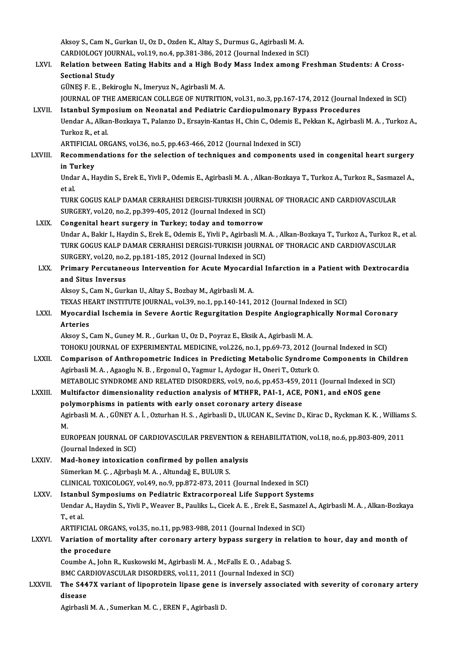Aksoy S.,CamN.,GurkanU.,OzD.,OzdenK.,Altay S.,DurmusG.,AgirbasliM.A. Aksoy S., Cam N., Gurkan U., Oz D., Ozden K., Altay S., Durmus G., Agirbasli M. A.<br>CARDIOLOGY JOURNAL, vol.19, no.4, pp.381-386, 2012 (Journal Indexed in SCI)<br>Pelation between Fating Hebits and a High Bedy Mess Index among LXVI. Relation between Eating Habits and a High Body Mass Index among Freshman Students: A Cross-<br>Sectional Study **CARDIOLOGY JOU**<br>Relation betwee<br>Sectional Study<br>CÜNES E. E. Beki GÜNEŞ F. E., Bekiroglu N., Imeryuz N., Agirbasli M. A. Sectional Study<br>GÜNEŞ F. E. , Bekiroglu N., Imeryuz N., Agirbasli M. A.<br>JOURNAL OF THE AMERICAN COLLEGE OF NUTRITION, vol.31, no.3, pp.167-174, 2012 (Journal Indexed in SCI)<br>Istanbul Sumnosium on Neonatal and Podiatris Car GÜNEȘ F. E. , Bekiroglu N., Imeryuz N., Agirbasli M. A.<br>JOURNAL OF THE AMERICAN COLLEGE OF NUTRITION, vol.31, no.3, pp.167-174, 2012 (Journal In<br>LXVII. Istanbul Symposium on Neonatal and Pediatric Cardiopulmonary Bypass Pr JOURNAL OF THE AMERICAN COLLEGE OF NUTRITION, vol.31, no.3, pp.167-174, 2012 (Journal Indexed in SCI)<br>Istanbul Symposium on Neonatal and Pediatric Cardiopulmonary Bypass Procedures<br>Uendar A., Alkan-Bozkaya T., Palanzo D., **Istanbul Symp**<br>Uendar A., Alka<br>Turkoz R., et al.<br>APTIEICIAL OP. Uendar A., Alkan-Bozkaya T., Palanzo D., Ersayin-Kantas H., Chin C., Odemis E., Pekkan K., Agirbasli M. A. , Turkoz A.,<br>Turkoz R., et al.<br>ARTIFICIAL ORGANS, vol.36, no.5, pp.463-466, 2012 (Journal Indexed in SCI) Turkoz R., et al.<br>ARTIFICIAL ORGANS, vol.36, no.5, pp.463-466, 2012 (Journal Indexed in SCI)<br>LXVIII. Recommendations for the selection of techniques and components used in congenital heart surgery<br>in Turkey ARTIFICIAL<br>Recommen<br>in Turkey<br><sup>Undor A H</sub></sup> Recommendations for the selection of techniques and components used in congenital heart surgery<br>in Turkey<br>Undar A., Haydin S., Erek E., Yivli P., Odemis E., Agirbasli M. A. , Alkan-Bozkaya T., Turkoz A., Turkoz R., Sasmaze i<mark>n T</mark>u<br>Unda<br>et al.<br>Tunu Undar A., Haydin S., Erek E., Yivli P., Odemis E., Agirbasli M. A. , Alkan-Bozkaya T., Turkoz A., Turkoz R., Sasmaz<br>et al.<br>TURK GOGUS KALP DAMAR CERRAHISI DERGISI-TURKISH JOURNAL OF THORACIC AND CARDIOVASCULAR<br>SURCERY VR. et al.<br>TURK GOGUS KALP DAMAR CERRAHISI DERGISI-TURKISH JOURNA<br>SURGERY, vol.20, no.2, pp.399-405, 2012 (Journal Indexed in SCI)<br>Congenital beart surgery in Turkey, today and temernew. TURK GOGUS KALP DAMAR CERRAHISI DERGISI-TURKISH JOURN.<br>SURGERY, vol.20, no.2, pp.399-405, 2012 (Journal Indexed in SCI)<br>LXIX. Congenital heart surgery in Turkey; today and tomorrow SURGERY, vol.20, no.2, pp.399-405, 2012 (Journal Indexed in SCI)<br><mark>Congenital heart surgery in Turkey; today and tomorrow</mark><br>Undar A., Bakir I., Haydin S., Erek E., Odemis E., Yivli P., Agirbasli M. A. , Alkan-Bozkaya T., Tur Congenital heart surgery in Turkey; today and tomorrow<br>Undar A., Bakir I., Haydin S., Erek E., Odemis E., Yivli P., Agirbasli M. A. , Alkan-Bozkaya T., Turkoz A., Turkoz R.<br>TURK GOGUS KALP DAMAR CERRAHISI DERGISI-TURKISH J Undar A., Bakir I., Haydin S., Erek E., Odemis E., Yivli P., Agirbasli M.<br>TURK GOGUS KALP DAMAR CERRAHISI DERGISI-TURKISH JOURNA<br>SURGERY, vol.20, no.2, pp.181-185, 2012 (Journal Indexed in SCI)<br>Primany Barautaneous Interve TURK GOGUS KALP DAMAR CERRAHISI DERGISI-TURKISH JOURNAL OF THORACIC AND CARDIOVASCULAR<br>SURGERY, vol.20, no.2, pp.181-185, 2012 (Journal Indexed in SCI)<br>LXX. Primary Percutaneous Intervention for Acute Myocardial Infarction SURGERY, vol.20, no.2<br>Primary Percutane<br>and Situs Inversus<br>Alsou S. Cam N. Curl Aksoy S., Cam N., Gurkan U., Altay S., Bozbay M., Agirbasli M. A. and Situs Inversus<br>Aksoy S., Cam N., Gurkan U., Altay S., Bozbay M., Agirbasli M. A.<br>TEXAS HEART INSTITUTE JOURNAL, vol.39, no.1, pp.140-141, 2012 (Journal Indexed in SCI)<br>Muesardial Ischamia in Severe Aertis Pegurgitation Aksoy S., Cam N., Gurkan U., Altay S., Bozbay M., Agirbasli M. A.<br>TEXAS HEART INSTITUTE JOURNAL, vol.39, no.1, pp.140-141, 2012 (Journal Indexed in SCI)<br>LXXI. Myocardial Ischemia in Severe Aortic Regurgitation Despite Angi TEXAS HE<br>Myocard<br>Arteries<br>Aksev S Myocardial Ischemia in Severe Aortic Regurgitation Despite Angiograph<br>Arteries<br>Aksoy S., Cam N., Guney M. R. , Gurkan U., Oz D., Poyraz E., Eksik A., Agirbasli M. A.<br>TOHOVIJ JOURNAL OF EXPERIMENTAL MEDICINE vol 226 no 1 nn Arteries<br>Aksoy S., Cam N., Guney M. R. , Gurkan U., Oz D., Poyraz E., Eksik A., Agirbasli M. A.<br>TOHOKU JOURNAL OF EXPERIMENTAL MEDICINE, vol.226, no.1, pp.69-73, 2012 (Journal Indexed in SCI) Aksoy S., Cam N., Guney M. R., Gurkan U., Oz D., Poyraz E., Eksik A., Agirbasli M. A.<br>TOHOKU JOURNAL OF EXPERIMENTAL MEDICINE, vol.226, no.1, pp.69-73, 2012 (Journal Indexed in SCI)<br>LXXII. Comparison of Anthropometric Indi TOHOKU JOURNAL OF EXPERIMENTAL MEDICINE, vol.226, no.1, pp.69-73, 2012 (Jo<br>Comparison of Anthropometric Indices in Predicting Metabolic Syndrome<br>Agirbasli M. A., Agaoglu N. B., Ergonul O., Yagmur I., Aydogar H., Oneri T., Comparison of Anthropometric Indices in Predicting Metabolic Syndrome Components in Child:<br>Agirbasli M. A. , Agaoglu N. B. , Ergonul O., Yagmur I., Aydogar H., Oneri T., Ozturk O.<br>METABOLIC SYNDROME AND RELATED DISORDERS, Agirbasli M. A. , Agaoglu N. B. , Ergonul O., Yagmur I., Aydogar H., Oneri T., Ozturk O.<br>METABOLIC SYNDROME AND RELATED DISORDERS, vol.9, no.6, pp.453-459, 2011 (Journal Indexed in<br>LXXIII. Multifactor dimensionality reduct METABOLIC SYNDROME AND RELATED DISORDERS, vol.9, no.6, pp.453-459, 2<br>Multifactor dimensionality reduction analysis of MTHFR, PAI-1, ACE,<br>polymorphisms in patients with early onset coronary artery disease<br>Agirbacli M.A., CÜ Multifactor dimensionality reduction analysis of MTHFR, PAI-1, ACE, PON1, and eNOS gene<br>polymorphisms in patients with early onset coronary artery disease<br>Agirbasli M. A. , GÜNEY A. İ. , Ozturhan H. S. , Agirbasli D., ULUC polymorphisms in patients with early onset coronary artery disease<br>Agirbasli M. A., GÜNEY A. İ., Ozturhan H. S., Agirbasli D., ULUCAN K., Sevinc D.<br>M. Agirbasli M. A. , GÜNEY A. İ. , Ozturhan H. S. , Agirbasli D., ULUCAN K., Sevinc D., Kirac D., Ryckman K. K. , William<br>M.<br>EUROPEAN JOURNAL OF CARDIOVASCULAR PREVENTION & REHABILITATION, vol.18, no.6, pp.803-809, 2011<br>(Jaun EUROPEAN JOURNAL OF CARDIOVASCULAR PREVENTION & REHABILITATION, vol.18, no.6, pp.803-809, 2011 (Journal Indexed in SCI) EUROPEAN JOURNAL OF CARDIOVASCULAR PREVENTION &<br>(Journal Indexed in SCI)<br>LXXIV. Mad-honey intoxication confirmed by pollen analysis<br>Sümerkan M. C. Ağırbaslı M. A. Altundağ E. BIJI UP S (Journal Indexed in SCI)<br>Mad-honey intoxication confirmed by pollen ana<br>Sümerkan M. Ç. , Ağırbaşlı M. A. , Altundağ E., BULUR S.<br>CLINICAL TOXICOLOCY vel 49 no 9 nn 972 972 2011 Sümerkan M. Ç. , Ağırbaşlı M. A. , Altundağ E., BULUR S.<br>CLINICAL TOXICOLOGY, vol.49, no.9, pp.872-873, 2011 (Journal Indexed in SCI) LXXV. Istanbul Symposiums on Pediatric Extracorporeal Life Support Systems CLINICAL TOXICOLOGY, vol.49, no.9, pp.872-873, 2011 (Journal Indexed in SCI)<br>Istanbul Symposiums on Pediatric Extracorporeal Life Support Systems<br>Uendar A., Haydin S., Yivli P., Weaver B., Pauliks L., Cicek A. E. , Erek E. **Istanbi**<br>Uendar<br>T., et al.<br>APTIEIC Uendar A., Haydin S., Yivli P., Weaver B., Pauliks L., Cicek A. E. , Erek E., Sasmazel<br>T., et al.<br>ARTIFICIAL ORGANS, vol.35, no.11, pp.983-988, 2011 (Journal Indexed in SCI)<br>Veriation of mortality ofter cononary orteny byn T., et al.<br>ARTIFICIAL ORGANS, vol.35, no.11, pp.983-988, 2011 (Journal Indexed in SCI)<br>LXXVI. Variation of mortality after coronary artery bypass surgery in relation to hour, day and month of<br>the presedure ARTIFICIAL ORG<br>Variation of me<br>the procedure<br>Coumbe A John Variation of mortality after coronary artery bypass surgery in re<br>the procedure<br>Coumbe A., John R., Kuskowski M., Agirbasli M. A. , McFalls E. O. , Adabag S.<br>PMC CARDIOVASCULAR DISORDERS vol.11, 2011 (Journal Indoved in SC the procedure<br>Coumbe A., John R., Kuskowski M., Agirbasli M. A. , McFalls E. O. , Adabag S. LXXVII. The S447X variant of lipoprotein lipase gene is inversely associated with severity of coronary artery disease BMC CARDIOVASCULAR DISORDERS, vol.11, 2011 (Journal Indexed in SCI) Agirbasli M. A., Sumerkan M. C., EREN F., Agirbasli D.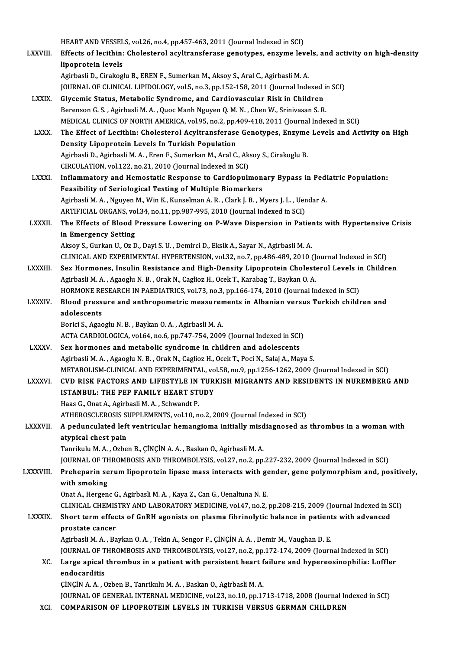HEART AND VESSELS, vol.26, no.4, pp.457-463, 2011 (Journal Indexed in SCI)<br>Effects of logithin: Chalastarel asyltransferess, constynes, engyme lev

LXXVIII. Effects of lecithin: Cholesterol acyltransferase genotypes, enzyme levels, and activity on high-density<br>lipoprotein levels HEART AND VESSEL<br>Effects of lecithin:<br>lipoprotein levels AgirbasliD.,CirakogluB.,ERENF.,SumerkanM.,Aksoy S.,AralC.,AgirbasliM.A.

JOURNAL OF CLINICAL LIPIDOLOGY, vol.5, no.3, pp.152-158, 2011 (Journal Indexed in SCI)

- LXXIX. Glycemic Status, Metabolic Syndrome, and Cardiovascular Risk in Children Berenson G.S., Agirbasli M.A., Quoc Manh Nguyen Q.M.N., Chen W., Srinivasan S.R. MEDICAL CLINICS OF NORTH AMERICA, vol.95, no.2, pp.409-418, 2011 (Journal Indexed in SCI) Berenson G. S. , Agirbasli M. A. , Quoc Manh Nguyen Q. M. N. , Chen W., Srinivasan S. R.<br>MEDICAL CLINICS OF NORTH AMERICA, vol.95, no.2, pp.409-418, 2011 (Journal Indexed in SCI)<br>LXXX. The Effect of Lecithin: Cholesterol A
- MEDICAL CLINICS OF NORTH AMERICA, vol.95, no.2, pp.4<br>The Effect of Lecithin: Cholesterol Acyltransferase<br>Density Lipoprotein Levels In Turkish Population<br>Agirbacli D. Agirbacli M.A., Fron E. Sumorkan M. Aral C The Effect of Lecithin: Cholesterol Acyltransferase Genotypes, Enzyme<br>Density Lipoprotein Levels In Turkish Population<br>Agirbasli D., Agirbasli M. A. , Eren F., Sumerkan M., Aral C., Aksoy S., Cirakoglu B.<br>CIRCULATION vel 1 Density Lipoprotein Levels In Turkish Population<br>Agirbasli D., Agirbasli M. A. , Eren F., Sumerkan M., Aral C., Aksoy S., Cirakoglu B.<br>CIRCULATION, vol.122, no.21, 2010 (Journal Indexed in SCI) Agirbasli D., Agirbasli M. A., Eren F., Sumerkan M., Aral C., Aksoy S., Cirakoglu B.<br>CIRCULATION, vol.122, no.21, 2010 (Journal Indexed in SCI)<br>LXXXI. Inflammatory and Hemostatic Response to Cardiopulmonary Bypass in Pedia
- Feasibility of Seriological Testing of Multiple Biomarkers Inflammatory and Hemostatic Response to Cardiopulmonary Bypass in Pedi<br>Feasibility of Seriological Testing of Multiple Biomarkers<br>Agirbasli M.A., Nguyen M., Win K., Kunselman A. R. , Clark J. B. , Myers J. L. , Uendar A.<br>A Agirbasli M. A. , Nguyen M., Win K., Kunselman A. R. , Clark J. B. , Myers J. L. , Uendar A.<br>ARTIFICIAL ORGANS, vol.34, no.11, pp.987-995, 2010 (Journal Indexed in SCI) Agirbasli M. A. , Nguyen M., Win K., Kunselman A. R. , Clark J. B. , Myers J. L. , Uendar A.<br>ARTIFICIAL ORGANS, vol.34, no.11, pp.987-995, 2010 (Journal Indexed in SCI)<br>LXXXII. The Effects of Blood Pressure Lowering on P-W

### ARTIFICIAL ORGANS, vo<br>The Effects of Blood I<br>in Emergency Setting<br>Alsoy S. Gurlian II. Or D The Effects of Blood Pressure Lowering on P-Wave Dispersion in Patien<br>in Emergency Setting<br>Aksoy S., Gurkan U., Oz D., Dayi S. U. , Demirci D., Eksik A., Sayar N., Agirbasli M. A.<br>CLINICAL AND EXPERIMENTAL UVRERTENSION .va in Emergency Setting<br>Aksoy S., Gurkan U., Oz D., Dayi S. U. , Demirci D., Eksik A., Sayar N., Agirbasli M. A.<br>CLINICAL AND EXPERIMENTAL HYPERTENSION, vol.32, no.7, pp.486-489, 2010 (Journal Indexed in SCI)<br>Sex Hermenes, In

- Aksoy S., Gurkan U., Oz D., Dayi S. U. , Demirci D., Eksik A., Sayar N., Agirbasli M. A.<br>CLINICAL AND EXPERIMENTAL HYPERTENSION, vol.32, no.7, pp.486-489, 2010 (Journal Indexed in SCI)<br>LXXXIII. Sex Hormones, Insulin Resist CLINICAL AND EXPERIMENTAL HYPERTENSION, vol.32, no.7, pp.486-489, 2010 (J.<br>Sex Hormones, Insulin Resistance and High-Density Lipoprotein Cholest<br>Agirbasli M. A., Agaoglu N. B., Orak N., Caglioz H., Ocek T., Karabag T., Bay Sex Hormones, Insulin Resistance and High-Density Lipoprotein Cholesterol Levels in<br>Agirbasli M. A. , Agaoglu N. B. , Orak N., Caglioz H., Ocek T., Karabag T., Baykan O. A.<br>HORMONE RESEARCH IN PAEDIATRICS, vol.73, no.3, pp Agirbasli M. A. , Agaoglu N. B. , Orak N., Caglioz H., Ocek T., Karabag T., Baykan O. A.<br>HORMONE RESEARCH IN PAEDIATRICS, vol.73, no.3, pp.166-174, 2010 (Journal Indexed in SCI)<br>LXXXIV. Blood pressure and anthropometric me
- HORMONE RE<br>Blood press<br>adolescents<br>Porisi S. Agos Blood pressure and anthropometric measuren<br>adolescents<br>Borici S., Agaoglu N.B. , Baykan O.A. , Agirbasli M.A.<br>ACTA CARDIOLOCICA vol 64 no 6 nn 747 754 2000
	- adolescents<br>Borici S., Agaoglu N. B. , Baykan O. A. , Agirbasli M. A.<br>ACTA CARDIOLOGICA, vol.64, no.6, pp.747-754, 2009 (Journal Indexed in SCI)

LXXXV. Sex hormones and metabolic syndrome in children and adolescents Agirbasli M. A., Agaoglu N. B., Orak N., Caglioz H., Ocek T., Poci N., Salaj A., Maya S. Sex hormones and metabolic syndrome in children and adolescents<br>Agirbasli M. A. , Agaoglu N. B. , Orak N., Caglioz H., Ocek T., Poci N., Salaj A., Maya S.<br>METABOLISM-CLINICAL AND EXPERIMENTAL, vol.58, no.9, pp.1256-1262, 2 Agirbasli M. A. , Agaoglu N. B. , Orak N., Caglioz H., Ocek T., Poci N., Salaj A., Maya S.<br>METABOLISM-CLINICAL AND EXPERIMENTAL, vol.58, no.9, pp.1256-1262, 2009 (Journal Indexed in SCI)<br>LXXXVI. CVD RISK FACTORS AND LIFEST

### METABOLISM-CLINICAL AND EXPERIMENTAL, vo<br>CVD RISK FACTORS AND LIFESTYLE IN TUR<br>ISTANBUL: THE PEP FAMILY HEART STUDY<br>Heas Conat Aodirheali Moto Schunndt P CVD RISK FACTORS AND LIFESTYLE IN TURKISH MIGRANTS AND RESIDENTS IN NUREMBERG AND ISTANBUL: THE PEP FAMILY HEART STUDY<br>ISTANBUL: THE PEP FAMILY HEART STUDY<br>Haas G., Onat A., Agirbasli M. A. , Schwandt P.

ATHEROSCLEROSIS SUPPLEMENTS, vol.10, no.2, 2009 (Journal Indexed in SCI)

### Haas G., Onat A., Agirbasli M. A. , Schwandt P.<br>ATHEROSCLEROSIS SUPPLEMENTS, vol.10, no.2, 2009 (Journal Indexed in SCI)<br>LXXXVII. A pedunculated left ventricular hemangioma initially misdiagnosed as thrombus in a woman ATHEROSCLEROSIS S<br>A pedunculated left<br>atypical chest pain<br>Tanrilulu M A - Orbe A pedunculated left ventricular hemangioma initially misd<br>atypical chest pain<br>Tanrikulu M.A., Ozben B., ÇİNÇİN A.A., Baskan O., Agirbasli M.A.<br>JOUPNAL OF THROMPOSIS AND THROMPOLYSIS 321 PR.3. PR <mark>atypical chest pain</mark><br>Tanrikulu M. A. , Ozben B., ÇİNÇİN A. A. , Baskan O., Agirbasli M. A.<br>JOURNAL OF THROMBOSIS AND THROMBOLYSIS, vol.27, no.2, pp.227-232, 2009 (Journal Indexed in SCI)<br>Prehenarin serum linonratain lines

### Tanrikulu M. A. , Ozben B., ÇİNÇİN A. A. , Baskan O., Agirbasli M. A.<br>JOURNAL OF THROMBOSIS AND THROMBOLYSIS, vol.27, no.2, pp.227-232, 2009 (Journal Indexed in SCI)<br>LXXXVIII. Preheparin serum lipoprotein lipase mass i JOURNAL OF TH<br>Preheparin se<br>with smoking<br>Onat A. Hergen Preheparin serum lipoprotein lipase mass interacts with gender, gene polymorphism and, positively,<br>with smoking<br>Onat A., Hergenc G., Agirbasli M. A. , Kaya Z., Can G., Uenaltuna N. E. with smoking<br>Onat A., Hergenc G., Agirbasli M. A. , Kaya Z., Can G., Uenaltuna N. E.<br>CLINICAL CHEMISTRY AND LABORATORY MEDICINE, vol.47, no.2, pp.208-215, 2009 (Journal Indexed in SCI)<br>Short term effects of CRBH agonists o

### Onat A., Hergenc G., Agirbasli M. A. , Kaya Z., Can G., Uenaltuna N. E.<br>CLINICAL CHEMISTRY AND LABORATORY MEDICINE, vol.47, no.2, pp.208-215, 2009 (Journal Indexed in S<br>LXXXIX. Short term effects of GnRH agonists on plasma CLINICAL CHEMIS<br>Short term effec<br>prostate cancer<br>Agirbasli M.A., Bo Short term effects of GnRH agonists on plasma fibrinolytic balance in patients with advanced<br>prostate cancer<br>Agirbasli M.A. , Baykan O.A. , Tekin A., Sengor F., ÇİNÇİN A.A. , Demir M., Vaughan D. E.

prostate cancer<br>Agirbasli M. A. , Baykan O. A. , Tekin A., Sengor F., ÇİNÇİN A. A. , Demir M., Vaughan D. E.<br>JOURNAL OF THROMBOSIS AND THROMBOLYSIS, vol.27, no.2, pp.172-174, 2009 (Journal Indexed in SCI)<br>Large anicel thro Agirbasli M. A. , Baykan O. A. , Tekin A., Sengor F., ÇİNÇİN A. A. , Demir M., Vaughan D. E.<br>JOURNAL OF THROMBOSIS AND THROMBOLYSIS, vol.27, no.2, pp.172-174, 2009 (Journal Indexed in SCI)<br>XC. Large apical thrombus in a pa

## **JOURNAL OF T<br>Large apical<br>endocarditis<br>CINCIN A A C** Large apical thrombus in a patient with persistent heart f<br>endocarditis<br>ÇİNÇİN A. A. , Ozben B., Tanrikulu M. A. , Baskan O., Agirbasli M. A.<br>JOUDNAL OE CENERAL INTERNAL MEDICINE vol 33 no 10 nn 15

- endocarditis<br>ÇİNÇİN A. A. , Ozben B., Tanrikulu M. A. , Baskan O., Agirbasli M. A.<br>JOURNAL OF GENERAL INTERNAL MEDICINE, vol.23, no.10, pp.1713-1718, 2008 (Journal Indexed in SCI)<br>COMRARISON OF LIRORROTEIN LEVELS IN TURKIS ÇİNÇİN A. A. , Ozben B., Tanrikulu M. A. , Baskan O., Agirbasli M. A.<br>JOURNAL OF GENERAL INTERNAL MEDICINE, vol.23, no.10, pp.1713-1718, 2008 (Journal In<br>XCI. COMPARISON OF LIPOPROTEIN LEVELS IN TURKISH VERSUS GERMAN C
-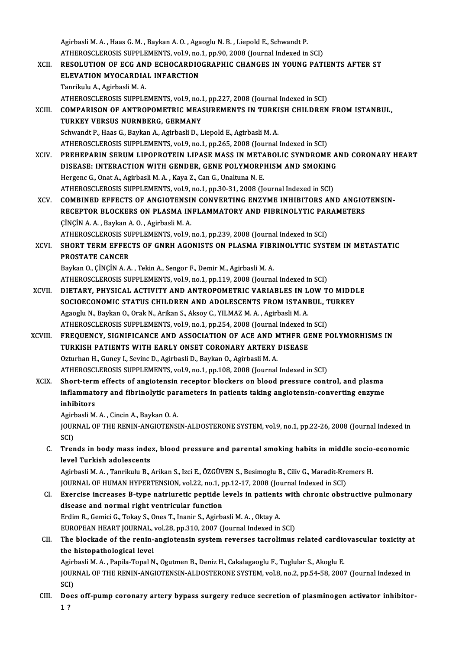|             | Agirbasli M. A., Haas G. M., Baykan A. O., Agaoglu N. B., Liepold E., Schwandt P.                         |
|-------------|-----------------------------------------------------------------------------------------------------------|
|             | ATHEROSCLEROSIS SUPPLEMENTS, vol.9, no.1, pp.90, 2008 (Journal Indexed in SCI)                            |
| XCII.       | RESOLUTION OF ECG AND ECHOCARDIOGRAPHIC CHANGES IN YOUNG PATIENTS AFTER ST                                |
|             | ELEVATION MYOCARDIAL INFARCTION                                                                           |
|             | Tanrikulu A., Agirbasli M. A.                                                                             |
|             | ATHEROSCLEROSIS SUPPLEMENTS, vol.9, no.1, pp.227, 2008 (Journal Indexed in SCI)                           |
| XCIII.      | COMPARISON OF ANTROPOMETRIC MEASUREMENTS IN TURKISH CHILDREN FROM ISTANBUL,                               |
|             | TURKEY VERSUS NURNBERG, GERMANY                                                                           |
|             | Schwandt P., Haas G., Baykan A., Agirbasli D., Liepold E., Agirbasli M. A.                                |
|             | ATHEROSCLEROSIS SUPPLEMENTS, vol.9, no.1, pp.265, 2008 (Journal Indexed in SCI)                           |
| XCIV.       | PREHEPARIN SERUM LIPOPROTEIN LIPASE MASS IN METABOLIC SYNDROME AND CORONARY HEART                         |
|             | DISEASE: INTERACTION WITH GENDER, GENE POLYMORPHISM AND SMOKING                                           |
|             | Hergenc G., Onat A., Agirbasli M. A., Kaya Z., Can G., Unaltuna N. E.                                     |
|             | ATHEROSCLEROSIS SUPPLEMENTS, vol.9, no.1, pp.30-31, 2008 (Journal Indexed in SCI)                         |
| XCV.        | COMBINED EFFECTS OF ANGIOTENSIN CONVERTING ENZYME INHIBITORS AND ANGIOTENSIN-                             |
|             | RECEPTOR BLOCKERS ON PLASMA INFLAMMATORY AND FIBRINOLYTIC PARAMETERS                                      |
|             | ÇİNÇİN A.A., Baykan A.O., Agirbasli M.A.                                                                  |
|             | ATHEROSCLEROSIS SUPPLEMENTS, vol.9, no.1, pp.239, 2008 (Journal Indexed in SCI)                           |
| XCVI.       | SHORT TERM EFFECTS OF GNRH AGONISTS ON PLASMA FIBRINOLYTIC SYSTEM IN METASTATIC                           |
|             | <b>PROSTATE CANCER</b>                                                                                    |
|             | Baykan O., ÇİNÇİN A. A., Tekin A., Sengor F., Demir M., Agirbasli M. A.                                   |
|             | ATHEROSCLEROSIS SUPPLEMENTS, vol.9, no.1, pp.119, 2008 (Journal Indexed in SCI)                           |
| XCVII.      | DIETARY, PHYSICAL ACTIVITY AND ANTROPOMETRIC VARIABLES IN LOW TO MIDDLE                                   |
|             | SOCIOECONOMIC STATUS CHILDREN AND ADOLESCENTS FROM ISTANBUL, TURKEY                                       |
|             | Agaoglu N., Baykan O., Orak N., Arikan S., Aksoy C., YILMAZ M. A., Agirbasli M. A.                        |
|             | ATHEROSCLEROSIS SUPPLEMENTS, vol.9, no.1, pp.254, 2008 (Journal Indexed in SCI)                           |
| XCVIII.     | FREQUENCY, SIGNIFICANCE AND ASSOCIATION OF ACE AND MTHFR GENE POLYMORHISMS IN                             |
|             | TURKISH PATIENTS WITH EARLY ONSET CORONARY ARTERY DISEASE                                                 |
|             | Ozturhan H., Guney I., Sevinc D., Agirbasli D., Baykan O., Agirbasli M. A.                                |
|             | ATHEROSCLEROSIS SUPPLEMENTS, vol.9, no.1, pp.108, 2008 (Journal Indexed in SCI)                           |
| <b>XCIX</b> | Short-term effects of angiotensin receptor blockers on blood pressure control, and plasma                 |
|             | inflammatory and fibrinolytic parameters in patients taking angiotensin-converting enzyme                 |
|             | inhibitors                                                                                                |
|             | Agirbasli M. A., Cincin A., Baykan O. A.                                                                  |
|             | JOURNAL OF THE RENIN-ANGIOTENSIN-ALDOSTERONE SYSTEM, vol.9, no.1, pp.22-26, 2008 (Journal Indexed in      |
|             | SCI)                                                                                                      |
| C.          | Trends in body mass index, blood pressure and parental smoking habits in middle socio-economic            |
|             | level Turkish adolescents                                                                                 |
|             | Agirbasli M. A., Tanrikulu B., Arikan S., Izci E., ÖZGÜVEN S., Besimoglu B., Ciliv G., Maradit-Kremers H. |
|             | JOURNAL OF HUMAN HYPERTENSION, vol.22, no.1, pp.12-17, 2008 (Journal Indexed in SCI)                      |
| CI.         | Exercise increases B-type natriuretic peptide levels in patients with chronic obstructive pulmonary       |
|             | disease and normal right ventricular function                                                             |
|             | Erdim R., Gemici G., Tokay S., Ones T., Inanir S., Agirbasli M. A., Oktay A.                              |
|             | EUROPEAN HEART JOURNAL, vol.28, pp.310, 2007 (Journal Indexed in SCI)                                     |
| CII.        | The blockade of the renin-angiotensin system reverses tacrolimus related cardiovascular toxicity at       |
|             | the histopathological level                                                                               |
|             | Agirbasli M. A., Papila-Topal N., Ogutmen B., Deniz H., Cakalagaoglu F., Tuglular S., Akoglu E.           |
|             | JOURNAL OF THE RENIN-ANGIOTENSIN-ALDOSTERONE SYSTEM, vol.8, no.2, pp.54-58, 2007 (Journal Indexed in      |
|             | SCI)                                                                                                      |
| CIII.       | Does off-pump coronary artery bypass surgery reduce secretion of plasminogen activator inhibitor-         |
|             | 1?                                                                                                        |
|             |                                                                                                           |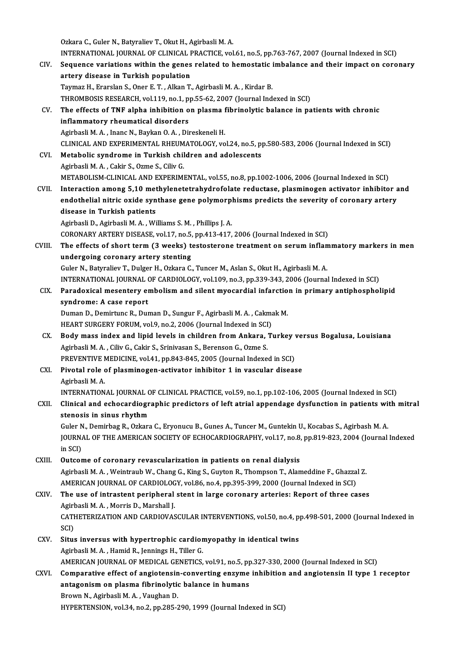Ozkara C., Guler N., Batyraliev T., Okut H., Agirbasli M. A. Ozkara C., Guler N., Batyraliev T., Okut H., Agirbasli M. A.<br>INTERNATIONAL JOURNAL OF CLINICAL PRACTICE, vol.61, no.5, pp.763-767, 2007 (Journal Indexed in SCI)<br>Seguence variations within the genes related to hemogtatis im Ozkara C., Guler N., Batyraliev T., Okut H., Agirbasli M. A.<br>INTERNATIONAL JOURNAL OF CLINICAL PRACTICE, vol.61, no.5, pp.763-767, 2007 (Journal Indexed in SCI)<br>CIV. Sequence variations within the genes related to hemostat INTERNATIONAL JOURNAL OF CLINICAL F<br>Sequence variations within the genes<br>artery disease in Turkish population<br>Taumar H. Enarslan S. Onar E. T., Alian T. Sequence variations within the genes related to hemostatic imbalance and their impact on coronary<br>artery disease in Turkish population<br>Taymaz H., Erarslan S., Oner E. T. , Alkan T., Agirbasli M. A. , Kirdar B. THROMBOSIS RESEARCH, vol.119, no.1, pp.55-62, 2007 (Journal Indexed in SCI) Taymaz H., Erarslan S., Oner E. T. , Alkan T., Agirbasli M. A. , Kirdar B.<br>THROMBOSIS RESEARCH, vol.119, no.1, pp.55-62, 2007 (Journal Indexed in SCI)<br>CV. The effects of TNF alpha inhibition on plasma fibrinolytic balance THROMBOSIS RESEARCH, vol.119, no.1, p<br>The effects of TNF alpha inhibition of<br>inflammatory rheumatical disorders The effects of TNF alpha inhibition on plasma inflammatory rheumatical disorders<br>Agirbasli M.A., Inanc N., Baykan O.A., Direskeneli H.<br>CLINICAL AND EXPERIMENTAL RUEUMATOLOCY vo i<mark>nflammatory rheumatical disorders</mark><br>Agirbasli M. A. , Inanc N., Baykan O. A. , Direskeneli H.<br>CLINICAL AND EXPERIMENTAL RHEUMATOLOGY, vol.24, no.5, pp.580-583, 2006 (Journal Indexed in SCI)<br>Metabolis syndromo in Turkish s Agirbasli M. A., Inanc N., Baykan O. A., Direskeneli H.<br>CLINICAL AND EXPERIMENTAL RHEUMATOLOGY, vol.24, no.5, p<br>CVI. Metabolic syndrome in Turkish children and adolescents CLINICAL AND EXPERIMENTAL RHEUM<br>Metabolic syndrome in Turkish chil<br>Agirbasli M. A. , Cakir S., Ozme S., Ciliv G.<br>METABOLISM CLINICAL AND EXPERIMI Metabolic syndrome in Turkish children and adolescents<br>Agirbasli M. A. , Cakir S., Ozme S., Ciliv G.<br>METABOLISM-CLINICAL AND EXPERIMENTAL, vol.55, no.8, pp.1002-1006, 2006 (Journal Indexed in SCI) Agirbasli M. A. , Cakir S., Ozme S., Ciliv G.<br>METABOLISM-CLINICAL AND EXPERIMENTAL, vol.55, no.8, pp.1002-1006, 2006 (Journal Indexed in SCI)<br>CVII. Interaction among 5,10 methylenetetrahydrofolate reductase, plasminogen ac METABOLISM-CLINICAL AND EXPERIMENTAL, vol.55, no.8, pp.1002-1006, 2006 (Journal Indexed in SCI)<br>Interaction among 5,10 methylenetetrahydrofolate reductase, plasminogen activator inhibitor a<br>endothelial nitric oxide synthas Interaction among 5,10 met<br>endothelial nitric oxide syn<br>disease in Turkish patients endothelial nitric oxide synthase gene polymorphisms predicts the severity of coronary artery<br>disease in Turkish patients<br>Agirbasli D., Agirbasli M. A. , Williams S. M. , Phillips J. A. CORONARY ARTERY DISEASE, vol.17, no.5, pp.413-417, 2006 (Journal Indexed in SCI) Agirbasli D., Agirbasli M. A. , Williams S. M. , Phillips J. A.<br>CORONARY ARTERY DISEASE, vol.17, no.5, pp.413-417, 2006 (Journal Indexed in SCI)<br>CVIII. The effects of short term (3 weeks) testosterone treatment on serum in CORONARY ARTERY DISEASE, vol.17, no.5,<br>The effects of short term (3 weeks) to<br>undergoing coronary artery stenting<br>Cular N. Betweliev T. Dulger H. Orkans C The effects of short term (3 weeks) testosterone treatment on serum infland<br>undergoing coronary artery stenting<br>Guler N., Batyraliev T., Dulger H., Ozkara C., Tuncer M., Aslan S., Okut H., Agirbasli M. A.<br>INTERNATIONAL JOU undergoing coronary artery stenting<br>Guler N., Batyraliev T., Dulger H., Ozkara C., Tuncer M., Aslan S., Okut H., Agirbasli M. A.<br>INTERNATIONAL JOURNAL OF CARDIOLOGY, vol.109, no.3, pp.339-343, 2006 (Journal Indexed in SCI) Guler N., Batyraliev T., Dulger H., Ozkara C., Tuncer M., Aslan S., Okut H., Agirbasli M. A.<br>INTERNATIONAL JOURNAL OF CARDIOLOGY, vol.109, no.3, pp.339-343, 2006 (Journal Indexed in SCI)<br>CIX. Paradoxical mesentery embolism **INTERNATIONAL JOURNAL (Paradoxical mesentery expanding the Syndrome: A case report**<br>Syndrome: A case report Paradoxical mesentery embolism and silent myocardial infarctio<br>syndrome: A case report<br>Duman D., Demirtunc R., Duman D., Sungur F., Agirbasli M. A. , Cakmak M.<br>UEAPT SURCERY EORUM .vol 9, no.2, 2006 (Journal Indoved in SCL syndrome: A case report<br>Duman D., Demirtunc R., Duman D., Sungur F., Agirbasli M. A. , Cakma<br>HEART SURGERY FORUM, vol.9, no.2, 2006 (Journal Indexed in SCI)<br>Body mass index and linid levels in shildren from Ankere. T. Duman D., Demirtunc R., Duman D., Sungur F., Agirbasli M. A., Cakmak M.<br>HEART SURGERY FORUM, vol.9, no.2, 2006 (Journal Indexed in SCI)<br>CX. Body mass index and lipid levels in children from Ankara, Turkey versus Bogalusa, HEART SURGERY FORUM, vol.9, no.2, 2006 (Journal Indexed in SCI<br>Body mass index and lipid levels in children from Ankara, '<br>Agirbasli M. A., Ciliv G., Cakir S., Srinivasan S., Berenson G., Ozme S.<br>BREVENTIVE MEDICINE vol.41 Body mass index and lipid levels in children from Ankara, Turkey v<br>Agirbasli M. A. , Ciliv G., Cakir S., Srinivasan S., Berenson G., Ozme S.<br>PREVENTIVE MEDICINE, vol.41, pp.843-845, 2005 (Journal Indexed in SCI)<br>Biyotal ro CXI. Pivotal role of plasminogen-activator inhibitor 1 in vascular disease PREVENTIVE N<br>Pivotal role<br>Agirbasli M. A.<br>INTERNATION Pivotal role of plasminogen-activator inhibitor 1 in vascular disease<br>Agirbasli M. A.<br>INTERNATIONAL JOURNAL OF CLINICAL PRACTICE, vol.59, no.1, pp.102-106, 2005 (Journal Indexed in SCI)<br>Clinical and esbacardiographic prodi Agirbasli M. A.<br>INTERNATIONAL JOURNAL OF CLINICAL PRACTICE, vol.59, no.1, pp.102-106, 2005 (Journal Indexed in SCI)<br>CXII. Clinical and echocardiographic predictors of left atrial appendage dysfunction in patients with mitr INTERNATIONAL JOURNAL C<br>Clinical and echocardiogr<br>stenosis in sinus rhythm<br>Culor N. Domirbes P. Orkars CXII. Clinical and echocardiographic predictors of left atrial appendage dysfunction in patients with mitral<br>stenosis in sinus rhythm JOURNAL OF THE AMERICAN SOCIETY OF ECHOCARDIOGRAPHY, vol.17, no.8, pp.819-823, 2004 (Journal Indexed in SCI) Guler N., Demirbag R., Ozkara C., Eryonucu B., Gunes A., Tuncer M., Guntekin U., Kocabas S., Agirbash M. A. CXIII. Outcome of coronary revascularization in patients on renal dialysis in SCI)<br>Outcome of coronary revascularization in patients on renal dialysis<br>Agirbasli M. A. , Weintraub W., Chang G., King S., Guyton R., Thompson T., Alameddine F., Ghazzal Z.<br>AMERICAN JOURNAL OF CARDIOLOCY, vol 86, no 4, Outcome of coronary revascularization in patients on renal dialysis<br>Agirbasli M. A. , Weintraub W., Chang G., King S., Guyton R., Thompson T., Alameddine F., Ghazza<br>AMERICAN JOURNAL OF CARDIOLOGY, vol.86, no.4, pp.395-399, Agirbasli M. A., Weintraub W., Chang G., King S., Guyton R., Thompson T., Alameddine F., Ghazzal Z.<br>AMERICAN JOURNAL OF CARDIOLOGY, vol.86, no.4, pp.395-399, 2000 (Journal Indexed in SCI)<br>CXIV. The use of intrastent periph AMERICAN JOURNAL OF CARDIOLOG<br>The use of intrastent peripheral<br>Agirbasli M. A. , Morris D., Marshall J.<br>CATUETERIZATION AND CARDIOVAS The use of intrastent peripheral stent in large coronary arteries: Report of three cases<br>Agirbasli M. A. , Morris D., Marshall J.<br>CATHETERIZATION AND CARDIOVASCULAR INTERVENTIONS, vol.50, no.4, pp.498-501, 2000 (Journal In Agirbasli M. A. , Morris D., Marshall J.<br>CATHETERIZATION AND CARDIOVASCULAR INTERVENTIONS, vol.50, no.4, pp.498-501, 2000 (Journal Indexed in<br>SCI) CATHETERIZATION AND CARDIOVASCULAR INTERVENTIONS, vol.50, no.4, p<br>SCI)<br>CXV. Situs inversus with hypertrophic cardiomyopathy in identical twins<br>Agirbasli M.A. Hamid B. Jonnings H. Tillor C SCI)<br>Situs inversus with hypertrophic cardior<br>Agirbasli M. A. , Hamid R., Jennings H., Tiller G.<br>AMERICAN JOUPNAL OF MEDICAL CENETICS Situs inversus with hypertrophic cardiomyopathy in identical twins<br>Agirbasli M. A. , Hamid R., Jennings H., Tiller G.<br>AMERICAN JOURNAL OF MEDICAL GENETICS, vol.91, no.5, pp.327-330, 2000 (Journal Indexed in SCI)<br>Comparativ Agirbasli M. A. , Hamid R., Jennings H., Tiller G.<br>AMERICAN JOURNAL OF MEDICAL GENETICS, vol.91, no.5, pp.327-330, 2000 (Journal Indexed in SCI)<br>CXVI. Comparative effect of angiotensin-converting enzyme inhibition and angi AMERICAN JOURNAL OF MEDICAL GENETICS, vol.91, no.5, pp<br>Comparative effect of angiotensin-converting enzyme<br>antagonism on plasma fibrinolytic balance in humans<br>Provin N. Agirbasli M.A. Vougbar D. Comparative effect of angiotensin<br>antagonism on plasma fibrinolytic<br>Brown N., Agirbasli M.A., Vaughan D.<br>HYPEPTENSION vol 24 no 2 nn 295 2 antagonism on plasma fibrinolytic balance in humans<br>Brown N., Agirbasli M. A. , Vaughan D.<br>HYPERTENSION, vol.34, no.2, pp.285-290, 1999 (Journal Indexed in SCI)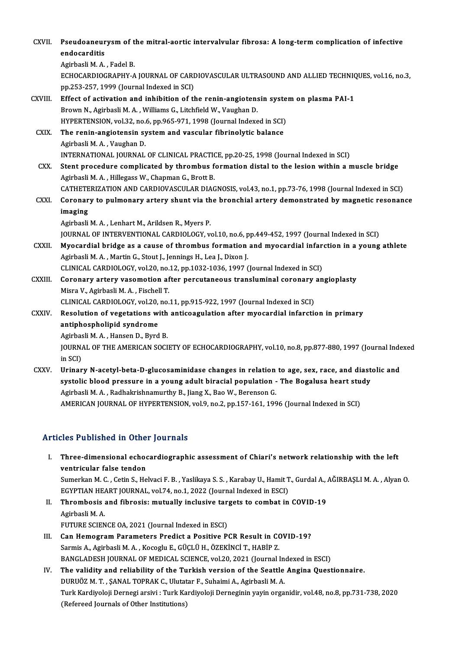| CXVII.       | Pseudoaneurysm of the mitral-aortic intervalvular fibrosa: A long-term complication of infective                   |
|--------------|--------------------------------------------------------------------------------------------------------------------|
|              | endocarditis                                                                                                       |
|              | Agirbasli M.A., Fadel B.                                                                                           |
|              | ECHOCARDIOGRAPHY-A JOURNAL OF CARDIOVASCULAR ULTRASOUND AND ALLIED TECHNIQUES, vol.16, no.3,                       |
|              | pp.253-257, 1999 (Journal Indexed in SCI)                                                                          |
| CXVIII.      | Effect of activation and inhibition of the renin-angiotensin system on plasma PAI-1                                |
|              | Brown N., Agirbasli M. A., Williams G., Litchfield W., Vaughan D.                                                  |
|              | HYPERTENSION, vol.32, no.6, pp.965-971, 1998 (Journal Indexed in SCI)                                              |
| CXIX.        | The renin-angiotensin system and vascular fibrinolytic balance                                                     |
|              | Agirbasli M. A., Vaughan D.<br>INTERNATIONAL JOURNAL OF CLINICAL PRACTICE, pp.20-25, 1998 (Journal Indexed in SCI) |
| CXX.         | Stent procedure complicated by thrombus formation distal to the lesion within a muscle bridge                      |
|              | Agirbasli M. A., Hillegass W., Chapman G., Brott B.                                                                |
|              | CATHETERIZATION AND CARDIOVASCULAR DIAGNOSIS, vol.43, no.1, pp.73-76, 1998 (Journal Indexed in SCI)                |
| <b>CXXI</b>  | Coronary to pulmonary artery shunt via the bronchial artery demonstrated by magnetic resonance                     |
|              | imaging                                                                                                            |
|              | Agirbasli M. A., Lenhart M., Arildsen R., Myers P.                                                                 |
|              | JOURNAL OF INTERVENTIONAL CARDIOLOGY, vol.10, no.6, pp.449-452, 1997 (Journal Indexed in SCI)                      |
| CXXII.       | Myocardial bridge as a cause of thrombus formation and myocardial infarction in a young athlete                    |
|              | Agirbasli M. A., Martin G., Stout J., Jennings H., Lea J., Dixon J.                                                |
|              | CLINICAL CARDIOLOGY, vol.20, no.12, pp.1032-1036, 1997 (Journal Indexed in SCI)                                    |
| CXXIII.      | Coronary artery vasomotion after percutaneous transluminal coronary angioplasty                                    |
|              | Misra V., Agirbasli M. A., Fischell T.                                                                             |
|              | CLINICAL CARDIOLOGY, vol.20, no.11, pp.915-922, 1997 (Journal Indexed in SCI)                                      |
| <b>CXXIV</b> | Resolution of vegetations with anticoagulation after myocardial infarction in primary                              |
|              | antiphospholipid syndrome                                                                                          |
|              | Agirbasli M. A., Hansen D., Byrd B.                                                                                |
|              | JOURNAL OF THE AMERICAN SOCIETY OF ECHOCARDIOGRAPHY, vol.10, no.8, pp.877-880, 1997 (Journal Indexed               |
|              | in SCI)                                                                                                            |
| CXXV.        | Urinary N-acetyl-beta-D-glucosaminidase changes in relation to age, sex, race, and diastolic and                   |
|              | systolic blood pressure in a young adult biracial population - The Bogalusa heart study                            |
|              | Agirbasli M. A., Radhakrishnamurthy B., Jiang X., Bao W., Berenson G.                                              |
|              | AMERICAN JOURNAL OF HYPERTENSION, vol.9, no.2, pp.157-161, 1996 (Journal Indexed in SCI)                           |
|              |                                                                                                                    |

### Articles Published in Other Journals

| <b>Articles Published in Other Journals</b>                                                                                  |
|------------------------------------------------------------------------------------------------------------------------------|
| I. Three-dimensional echocardiographic assessment of Chiari's network relationship with the left<br>ventricular false tendon |
| Sumerkan M. C., Cetin S., Helvaci F. B., Yaslikaya S. S., Karabay U., Hamit T., Gurdal A., AĞIRBAŞLI M. A., Alyan O.         |
| ECVDTIAN HEADTHOUDMAL vol 74 no. 1, 2022 (Journal Indoved in ECCI)                                                           |

- EGYPTIAN HEART JOURNAL, vol.74, no.1, 2022 (Journal Indexed in ESCI) Sumerkan M. C. , Cetin S., Helvaci F. B. , Yaslikaya S. S. , Karabay U., Hamit T., Gurdal A., .<br>EGYPTIAN HEART JOURNAL, vol.74, no.1, 2022 (Journal Indexed in ESCI)<br>II. Thrombosis and fibrosis: mutually inclusive targets t EGYPTIAN HEA<br>Thrombosis<br>Agirbasli M. A.<br>EUTUDE SCIEN
- Thrombosis and fibrosis: mutually inclusive target<br>Agirbasli M. A.<br>FUTURE SCIENCE 0A, 2021 (Journal Indexed in ESCI)<br>Can Hamagnam Baramatara Bradist a Basitive Be Agirbasli M. A.<br>FUTURE SCIENCE OA, 2021 (Journal Indexed in ESCI)<br>III. Can Hemogram Parameters Predict a Positive PCR Result in COVID-19?<br>Sarmis A Agirbasli M. A. Kasaglu E. CÜCLÜ H. ÖZEKİNCİ T. HARİD Z.
- FUTURE SCIENCE OA, 2021 (Journal Indexed in ESCI)<br>Can Hemogram Parameters Predict a Positive PCR Result in CO<br>Sarmis A., Agirbasli M.A., Kocoglu E., GÜÇLÜ H., ÖZEKİNCİ T., HABİP Z.<br>PANÇI ADESH JOURNAL OF MEDICAL SCIENCE 30 Sarmis A., Agirbasli M. A. , Kocoglu E., GÜÇLÜ H., ÖZEKİNCİ T., HABİP Z.<br>BANGLADESH JOURNAL OF MEDICAL SCIENCE, vol.20, 2021 (Journal Indexed in ESCI) Sarmis A., Agirbasli M. A., Kocoglu E., GÜÇLÜ H., ÖZEKİNCİ T., HABİP Z.<br>BANGLADESH JOURNAL OF MEDICAL SCIENCE, vol.20, 2021 (Journal Indexed in ESCI)<br>IV. The validity and reliability of the Turkish version of the Seattle A
- BANGLADESH JOURNAL OF MEDICAL SCIENCE, vol.20, 2021 (Journal In<br>The validity and reliability of the Turkish version of the Seattle<br>DURUÖZ M. T. , ŞANAL TOPRAK C., Ulutatar F., Suhaimi A., Agirbasli M. A.<br>Turk Kandivalaji D The validity and reliability of the Turkish version of the Seattle Angina Questionnaire.<br>DURUÖZ M. T. , ŞANAL TOPRAK C., Ulutatar F., Suhaimi A., Agirbasli M. A.<br>Turk Kardiyoloji Dernegi arsivi : Turk Kardiyoloji Dernegini DURUÖZ M. T. , ŞANAL TOPRAK C., Ulutat<br>Turk Kardiyoloji Dernegi arsivi : Turk Ka<br>(Refereed Journals of Other Institutions)